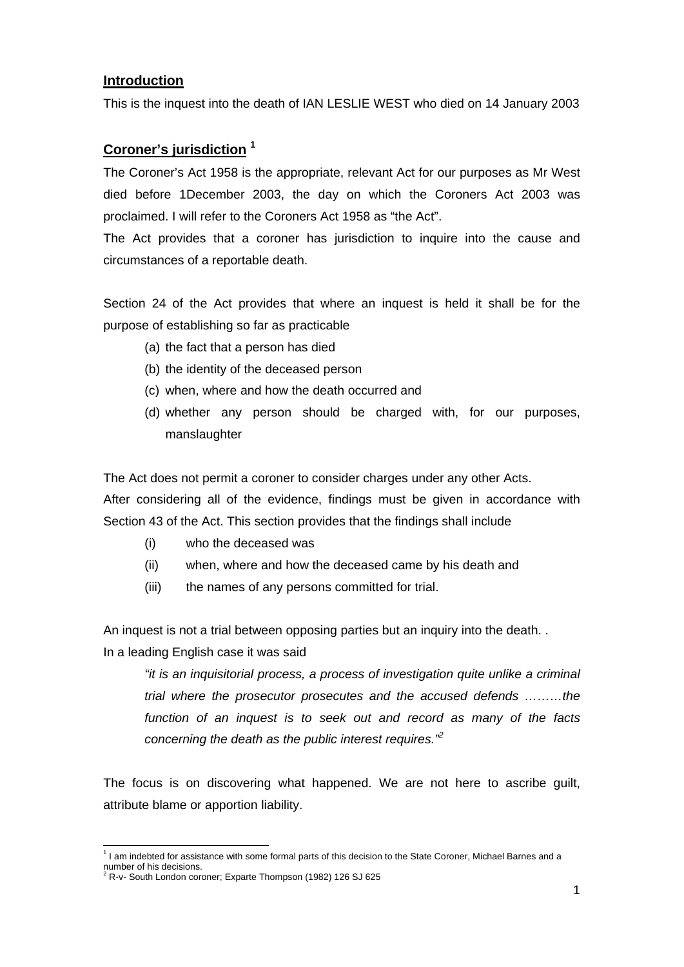# **Introduction**

This is the inquest into the death of IAN LESLIE WEST who died on 14 January 2003

# **Coroner's jurisdiction <sup>1</sup>**

The Coroner's Act 1958 is the appropriate, relevant Act for our purposes as Mr West died before 1December 2003, the day on which the Coroners Act 2003 was proclaimed. I will refer to the Coroners Act 1958 as "the Act".

The Act provides that a coroner has jurisdiction to inquire into the cause and circumstances of a reportable death.

Section 24 of the Act provides that where an inquest is held it shall be for the purpose of establishing so far as practicable

- (a) the fact that a person has died
- (b) the identity of the deceased person
- (c) when, where and how the death occurred and
- (d) whether any person should be charged with, for our purposes, manslaughter

The Act does not permit a coroner to consider charges under any other Acts.

After considering all of the evidence, findings must be given in accordance with Section 43 of the Act. This section provides that the findings shall include

- (i) who the deceased was
- (ii) when, where and how the deceased came by his death and
- (iii) the names of any persons committed for trial.

An inquest is not a trial between opposing parties but an inquiry into the death. .

In a leading English case it was said

1

*"it is an inquisitorial process, a process of investigation quite unlike a criminal trial where the prosecutor prosecutes and the accused defends ………the function of an inquest is to seek out and record as many of the facts concerning the death as the public interest requires."2*

The focus is on discovering what happened. We are not here to ascribe guilt, attribute blame or apportion liability.

<sup>&</sup>lt;sup>1</sup> I am indebted for assistance with some formal parts of this decision to the State Coroner, Michael Barnes and a number of his decisions.<br><sup>2</sup> R-v- South London coroner; Exparte Thompson (1982) 126 SJ 625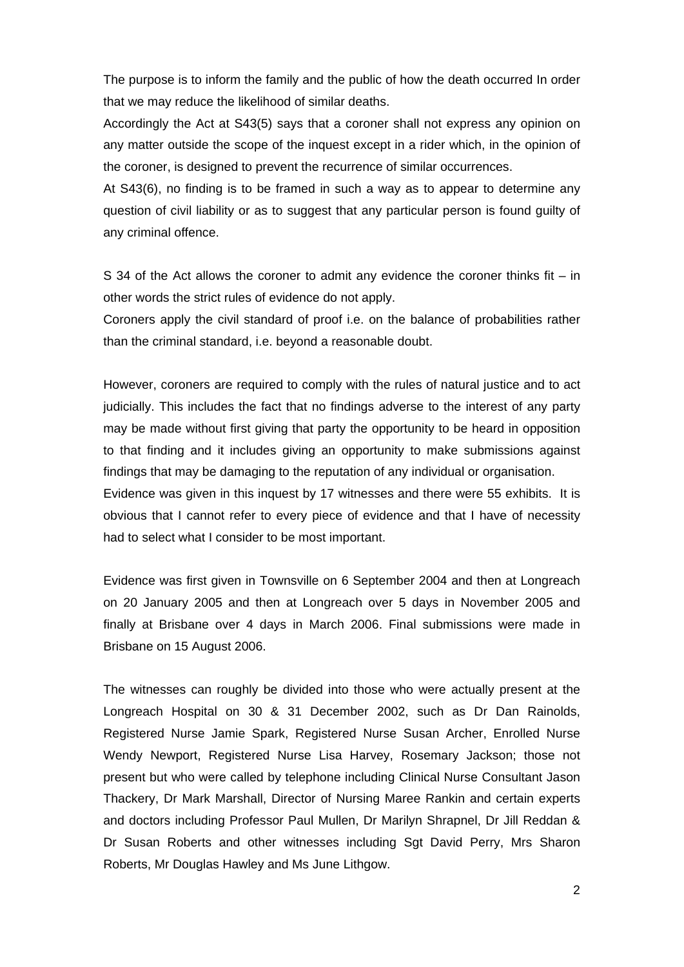The purpose is to inform the family and the public of how the death occurred In order that we may reduce the likelihood of similar deaths.

Accordingly the Act at S43(5) says that a coroner shall not express any opinion on any matter outside the scope of the inquest except in a rider which, in the opinion of the coroner, is designed to prevent the recurrence of similar occurrences.

At S43(6), no finding is to be framed in such a way as to appear to determine any question of civil liability or as to suggest that any particular person is found guilty of any criminal offence.

S 34 of the Act allows the coroner to admit any evidence the coroner thinks fit – in other words the strict rules of evidence do not apply.

Coroners apply the civil standard of proof i.e. on the balance of probabilities rather than the criminal standard, i.e. beyond a reasonable doubt.

However, coroners are required to comply with the rules of natural justice and to act judicially. This includes the fact that no findings adverse to the interest of any party may be made without first giving that party the opportunity to be heard in opposition to that finding and it includes giving an opportunity to make submissions against findings that may be damaging to the reputation of any individual or organisation. Evidence was given in this inquest by 17 witnesses and there were 55 exhibits. It is obvious that I cannot refer to every piece of evidence and that I have of necessity had to select what I consider to be most important.

Evidence was first given in Townsville on 6 September 2004 and then at Longreach on 20 January 2005 and then at Longreach over 5 days in November 2005 and finally at Brisbane over 4 days in March 2006. Final submissions were made in Brisbane on 15 August 2006.

The witnesses can roughly be divided into those who were actually present at the Longreach Hospital on 30 & 31 December 2002, such as Dr Dan Rainolds, Registered Nurse Jamie Spark, Registered Nurse Susan Archer, Enrolled Nurse Wendy Newport, Registered Nurse Lisa Harvey, Rosemary Jackson; those not present but who were called by telephone including Clinical Nurse Consultant Jason Thackery, Dr Mark Marshall, Director of Nursing Maree Rankin and certain experts and doctors including Professor Paul Mullen, Dr Marilyn Shrapnel, Dr Jill Reddan & Dr Susan Roberts and other witnesses including Sgt David Perry, Mrs Sharon Roberts, Mr Douglas Hawley and Ms June Lithgow.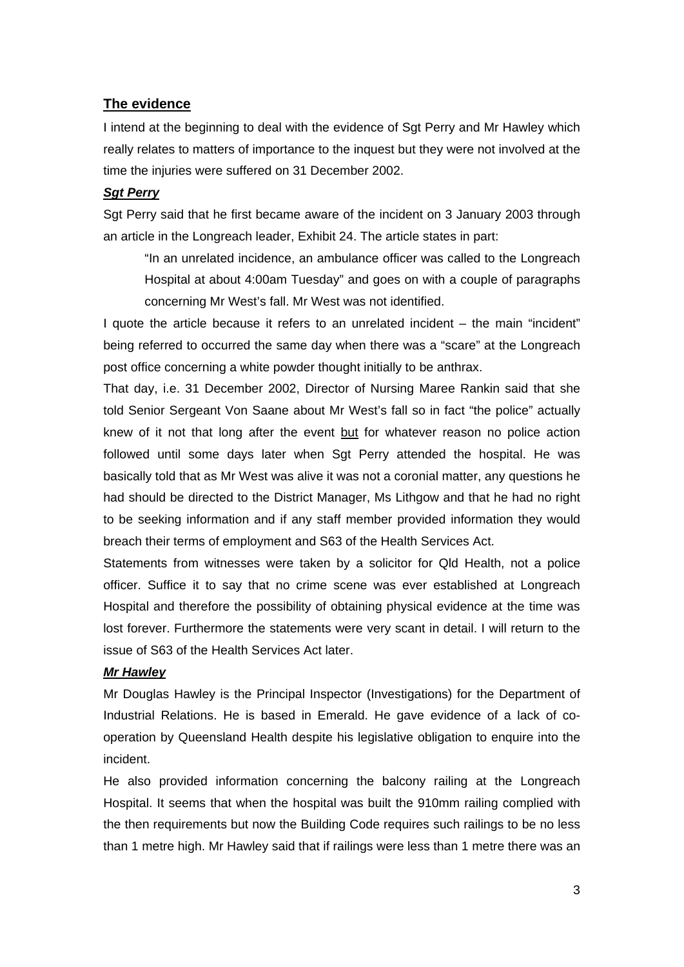# **The evidence**

I intend at the beginning to deal with the evidence of Sgt Perry and Mr Hawley which really relates to matters of importance to the inquest but they were not involved at the time the injuries were suffered on 31 December 2002.

# *Sgt Perry*

Sgt Perry said that he first became aware of the incident on 3 January 2003 through an article in the Longreach leader, Exhibit 24. The article states in part:

"In an unrelated incidence, an ambulance officer was called to the Longreach Hospital at about 4:00am Tuesday" and goes on with a couple of paragraphs concerning Mr West's fall. Mr West was not identified.

I quote the article because it refers to an unrelated incident – the main "incident" being referred to occurred the same day when there was a "scare" at the Longreach post office concerning a white powder thought initially to be anthrax.

That day, i.e. 31 December 2002, Director of Nursing Maree Rankin said that she told Senior Sergeant Von Saane about Mr West's fall so in fact "the police" actually knew of it not that long after the event but for whatever reason no police action followed until some days later when Sgt Perry attended the hospital. He was basically told that as Mr West was alive it was not a coronial matter, any questions he had should be directed to the District Manager, Ms Lithgow and that he had no right to be seeking information and if any staff member provided information they would breach their terms of employment and S63 of the Health Services Act.

Statements from witnesses were taken by a solicitor for Qld Health, not a police officer. Suffice it to say that no crime scene was ever established at Longreach Hospital and therefore the possibility of obtaining physical evidence at the time was lost forever. Furthermore the statements were very scant in detail. I will return to the issue of S63 of the Health Services Act later.

# *Mr Hawley*

Mr Douglas Hawley is the Principal Inspector (Investigations) for the Department of Industrial Relations. He is based in Emerald. He gave evidence of a lack of cooperation by Queensland Health despite his legislative obligation to enquire into the incident.

He also provided information concerning the balcony railing at the Longreach Hospital. It seems that when the hospital was built the 910mm railing complied with the then requirements but now the Building Code requires such railings to be no less than 1 metre high. Mr Hawley said that if railings were less than 1 metre there was an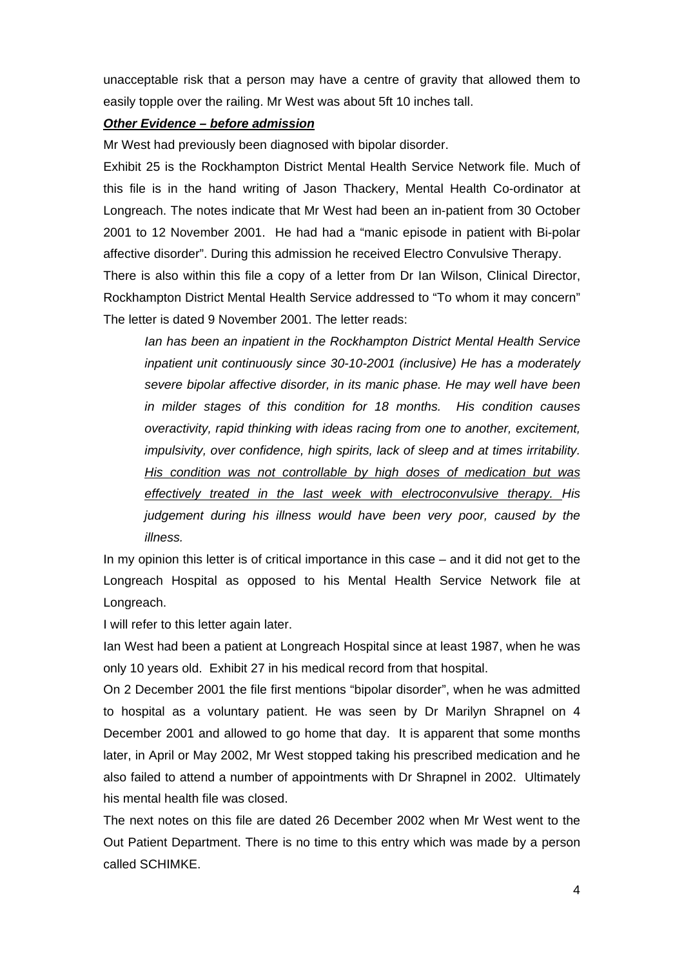unacceptable risk that a person may have a centre of gravity that allowed them to easily topple over the railing. Mr West was about 5ft 10 inches tall.

### *Other Evidence – before admission*

Mr West had previously been diagnosed with bipolar disorder.

Exhibit 25 is the Rockhampton District Mental Health Service Network file. Much of this file is in the hand writing of Jason Thackery, Mental Health Co-ordinator at Longreach. The notes indicate that Mr West had been an in-patient from 30 October 2001 to 12 November 2001. He had had a "manic episode in patient with Bi-polar affective disorder". During this admission he received Electro Convulsive Therapy.

There is also within this file a copy of a letter from Dr Ian Wilson, Clinical Director, Rockhampton District Mental Health Service addressed to "To whom it may concern" The letter is dated 9 November 2001. The letter reads:

*Ian has been an inpatient in the Rockhampton District Mental Health Service inpatient unit continuously since 30-10-2001 (inclusive) He has a moderately severe bipolar affective disorder, in its manic phase. He may well have been in milder stages of this condition for 18 months. His condition causes overactivity, rapid thinking with ideas racing from one to another, excitement, impulsivity, over confidence, high spirits, lack of sleep and at times irritability. His condition was not controllable by high doses of medication but was effectively treated in the last week with electroconvulsive therapy. His judgement during his illness would have been very poor, caused by the illness.* 

In my opinion this letter is of critical importance in this case – and it did not get to the Longreach Hospital as opposed to his Mental Health Service Network file at Longreach.

I will refer to this letter again later.

Ian West had been a patient at Longreach Hospital since at least 1987, when he was only 10 years old. Exhibit 27 in his medical record from that hospital.

On 2 December 2001 the file first mentions "bipolar disorder", when he was admitted to hospital as a voluntary patient. He was seen by Dr Marilyn Shrapnel on 4 December 2001 and allowed to go home that day. It is apparent that some months later, in April or May 2002, Mr West stopped taking his prescribed medication and he also failed to attend a number of appointments with Dr Shrapnel in 2002. Ultimately his mental health file was closed.

The next notes on this file are dated 26 December 2002 when Mr West went to the Out Patient Department. There is no time to this entry which was made by a person called SCHIMKE.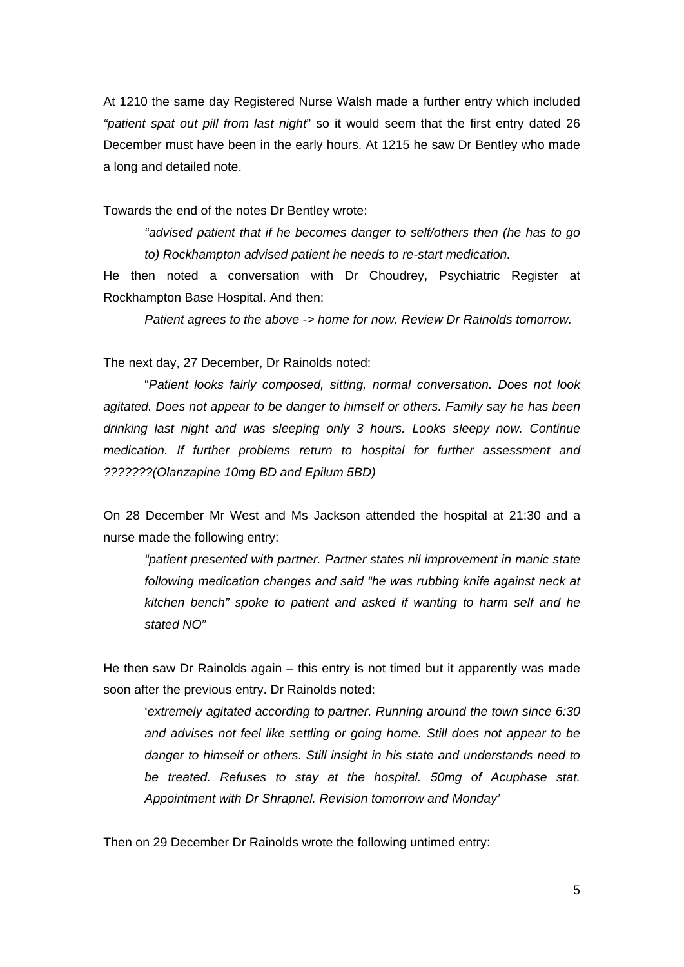At 1210 the same day Registered Nurse Walsh made a further entry which included *"patient spat out pill from last night*" so it would seem that the first entry dated 26 December must have been in the early hours. At 1215 he saw Dr Bentley who made a long and detailed note.

Towards the end of the notes Dr Bentley wrote:

*"advised patient that if he becomes danger to self/others then (he has to go to) Rockhampton advised patient he needs to re-start medication.* 

He then noted a conversation with Dr Choudrey, Psychiatric Register at Rockhampton Base Hospital. And then:

*Patient agrees to the above -> home for now. Review Dr Rainolds tomorrow.* 

The next day, 27 December, Dr Rainolds noted:

"*Patient looks fairly composed, sitting, normal conversation. Does not look agitated. Does not appear to be danger to himself or others. Family say he has been drinking last night and was sleeping only 3 hours. Looks sleepy now. Continue medication. If further problems return to hospital for further assessment and ???????(Olanzapine 10mg BD and Epilum 5BD)* 

On 28 December Mr West and Ms Jackson attended the hospital at 21:30 and a nurse made the following entry:

*"patient presented with partner. Partner states nil improvement in manic state following medication changes and said "he was rubbing knife against neck at kitchen bench" spoke to patient and asked if wanting to harm self and he stated NO"*

He then saw Dr Rainolds again – this entry is not timed but it apparently was made soon after the previous entry. Dr Rainolds noted:

'*extremely agitated according to partner. Running around the town since 6:30 and advises not feel like settling or going home. Still does not appear to be danger to himself or others. Still insight in his state and understands need to be treated. Refuses to stay at the hospital. 50mg of Acuphase stat. Appointment with Dr Shrapnel. Revision tomorrow and Monday'* 

Then on 29 December Dr Rainolds wrote the following untimed entry: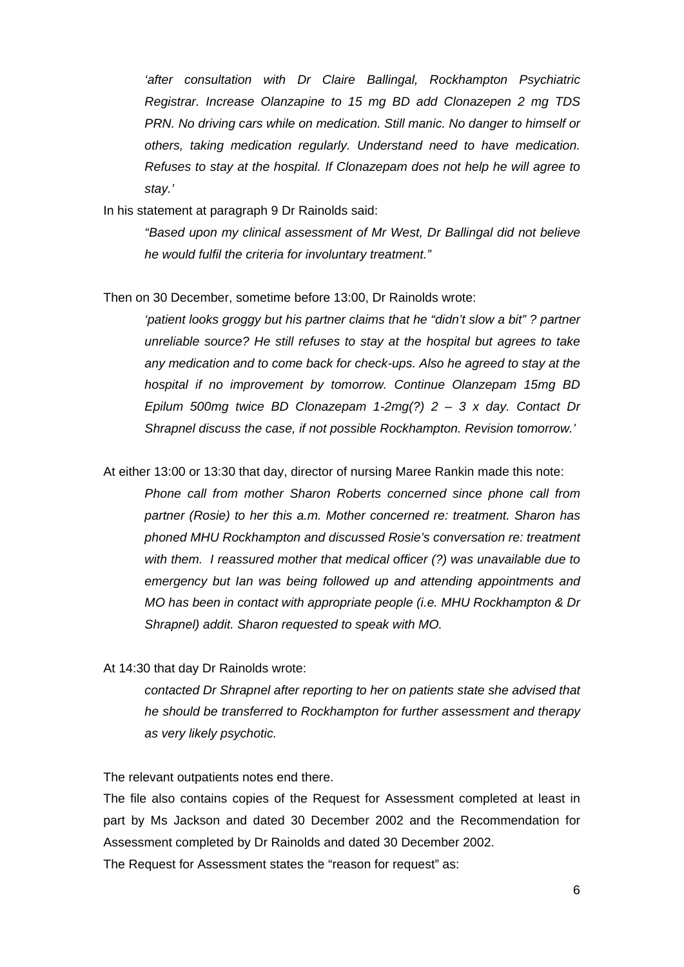*'after consultation with Dr Claire Ballingal, Rockhampton Psychiatric Registrar. Increase Olanzapine to 15 mg BD add Clonazepen 2 mg TDS PRN. No driving cars while on medication. Still manic. No danger to himself or others, taking medication regularly. Understand need to have medication. Refuses to stay at the hospital. If Clonazepam does not help he will agree to stay.'* 

In his statement at paragraph 9 Dr Rainolds said:

*"Based upon my clinical assessment of Mr West, Dr Ballingal did not believe he would fulfil the criteria for involuntary treatment."* 

Then on 30 December, sometime before 13:00, Dr Rainolds wrote:

'patient looks groggy but his partner claims that he "didn't slow a bit" ? partner *unreliable source? He still refuses to stay at the hospital but agrees to take any medication and to come back for check-ups. Also he agreed to stay at the hospital if no improvement by tomorrow. Continue Olanzepam 15mg BD Epilum 500mg twice BD Clonazepam 1-2mg(?) 2 – 3 x day. Contact Dr Shrapnel discuss the case, if not possible Rockhampton. Revision tomorrow.'* 

At either 13:00 or 13:30 that day, director of nursing Maree Rankin made this note:

*Phone call from mother Sharon Roberts concerned since phone call from partner (Rosie) to her this a.m. Mother concerned re: treatment. Sharon has phoned MHU Rockhampton and discussed Rosie's conversation re: treatment with them. I reassured mother that medical officer (?) was unavailable due to emergency but Ian was being followed up and attending appointments and MO has been in contact with appropriate people (i.e. MHU Rockhampton & Dr Shrapnel) addit. Sharon requested to speak with MO.* 

At 14:30 that day Dr Rainolds wrote:

*contacted Dr Shrapnel after reporting to her on patients state she advised that he should be transferred to Rockhampton for further assessment and therapy as very likely psychotic.* 

The relevant outpatients notes end there.

The file also contains copies of the Request for Assessment completed at least in part by Ms Jackson and dated 30 December 2002 and the Recommendation for Assessment completed by Dr Rainolds and dated 30 December 2002.

The Request for Assessment states the "reason for request" as: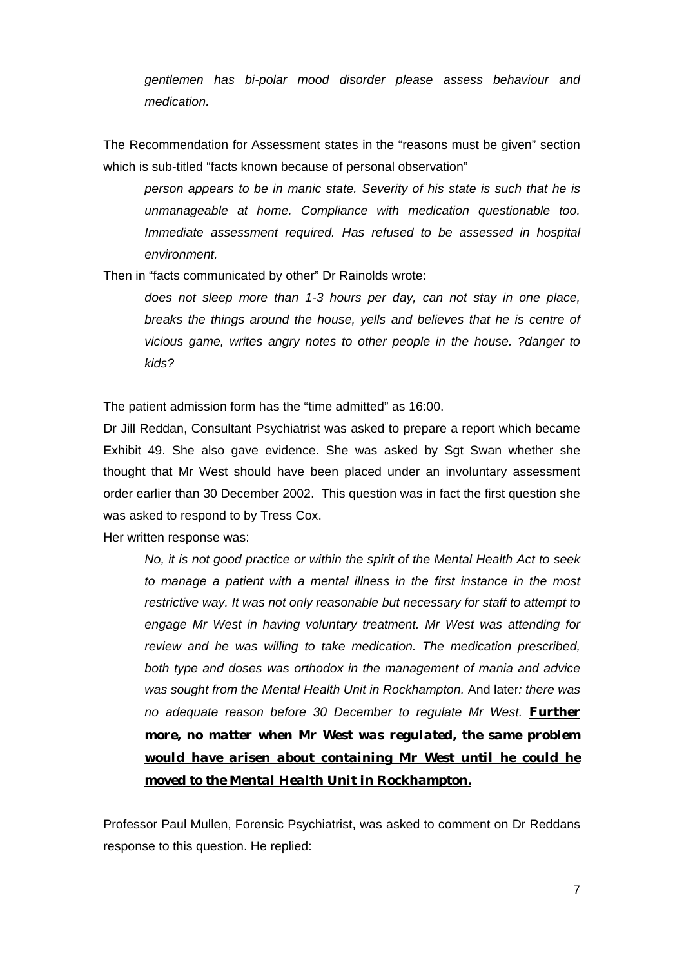*gentlemen has bi-polar mood disorder please assess behaviour and medication.* 

The Recommendation for Assessment states in the "reasons must be given" section which is sub-titled "facts known because of personal observation"

*person appears to be in manic state. Severity of his state is such that he is unmanageable at home. Compliance with medication questionable too. Immediate assessment required. Has refused to be assessed in hospital environment.* 

Then in "facts communicated by other" Dr Rainolds wrote:

*does not sleep more than 1-3 hours per day, can not stay in one place, breaks the things around the house, yells and believes that he is centre of vicious game, writes angry notes to other people in the house. ?danger to kids?* 

The patient admission form has the "time admitted" as 16:00.

Dr Jill Reddan, Consultant Psychiatrist was asked to prepare a report which became Exhibit 49. She also gave evidence. She was asked by Sgt Swan whether she thought that Mr West should have been placed under an involuntary assessment order earlier than 30 December 2002. This question was in fact the first question she was asked to respond to by Tress Cox.

Her written response was:

*No, it is not good practice or within the spirit of the Mental Health Act to seek to manage a patient with a mental illness in the first instance in the most restrictive way. It was not only reasonable but necessary for staff to attempt to engage Mr West in having voluntary treatment. Mr West was attending for review and he was willing to take medication. The medication prescribed, both type and doses was orthodox in the management of mania and advice was sought from the Mental Health Unit in Rockhampton.* And later*: there was no adequate reason before 30 December to regulate Mr West. Further more, no matter when Mr West was regulated, the same problem would have arisen about containing Mr West until he could he moved to the Mental Health Unit in Rockhampton.*

Professor Paul Mullen, Forensic Psychiatrist, was asked to comment on Dr Reddans response to this question. He replied: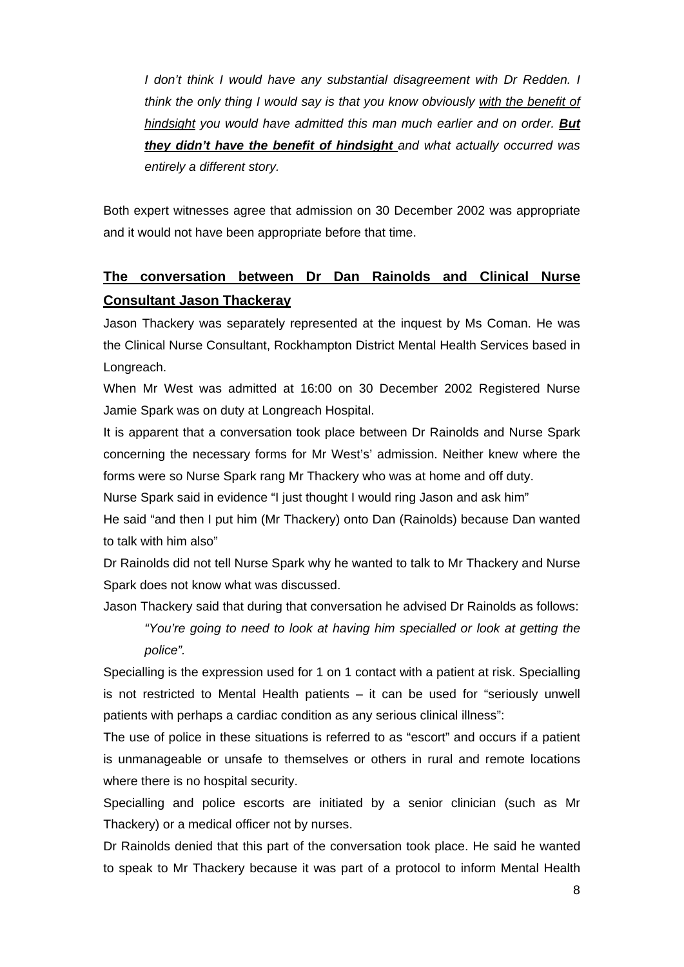*I* don't think I would have any substantial disagreement with Dr Redden. I *think the only thing I would say is that you know obviously with the benefit of hindsight you would have admitted this man much earlier and on order. But they didn't have the benefit of hindsight and what actually occurred was entirely a different story.* 

Both expert witnesses agree that admission on 30 December 2002 was appropriate and it would not have been appropriate before that time.

# **The conversation between Dr Dan Rainolds and Clinical Nurse Consultant Jason Thackeray**

Jason Thackery was separately represented at the inquest by Ms Coman. He was the Clinical Nurse Consultant, Rockhampton District Mental Health Services based in Longreach.

When Mr West was admitted at 16:00 on 30 December 2002 Registered Nurse Jamie Spark was on duty at Longreach Hospital.

It is apparent that a conversation took place between Dr Rainolds and Nurse Spark concerning the necessary forms for Mr West's' admission. Neither knew where the forms were so Nurse Spark rang Mr Thackery who was at home and off duty.

Nurse Spark said in evidence "I just thought I would ring Jason and ask him"

He said "and then I put him (Mr Thackery) onto Dan (Rainolds) because Dan wanted to talk with him also"

Dr Rainolds did not tell Nurse Spark why he wanted to talk to Mr Thackery and Nurse Spark does not know what was discussed.

Jason Thackery said that during that conversation he advised Dr Rainolds as follows:

*"You're going to need to look at having him specialled or look at getting the police".* 

Specialling is the expression used for 1 on 1 contact with a patient at risk. Specialling is not restricted to Mental Health patients – it can be used for "seriously unwell patients with perhaps a cardiac condition as any serious clinical illness":

The use of police in these situations is referred to as "escort" and occurs if a patient is unmanageable or unsafe to themselves or others in rural and remote locations where there is no hospital security.

Specialling and police escorts are initiated by a senior clinician (such as Mr Thackery) or a medical officer not by nurses.

Dr Rainolds denied that this part of the conversation took place. He said he wanted to speak to Mr Thackery because it was part of a protocol to inform Mental Health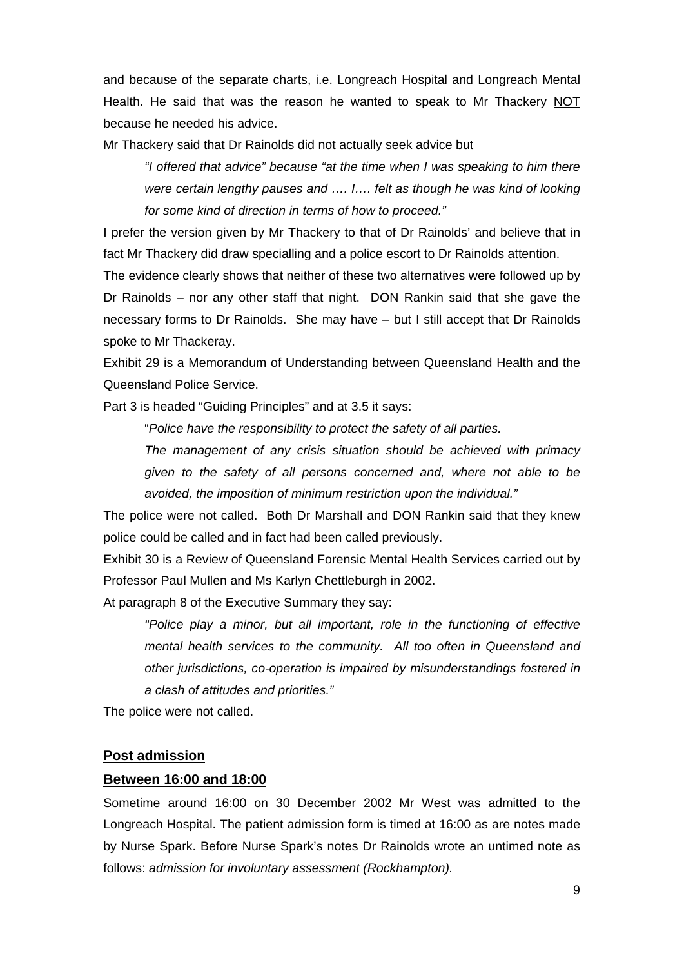and because of the separate charts, i.e. Longreach Hospital and Longreach Mental Health. He said that was the reason he wanted to speak to Mr Thackery NOT because he needed his advice.

Mr Thackery said that Dr Rainolds did not actually seek advice but

*"I offered that advice" because "at the time when I was speaking to him there were certain lengthy pauses and …. I…. felt as though he was kind of looking for some kind of direction in terms of how to proceed."* 

I prefer the version given by Mr Thackery to that of Dr Rainolds' and believe that in fact Mr Thackery did draw specialling and a police escort to Dr Rainolds attention.

The evidence clearly shows that neither of these two alternatives were followed up by Dr Rainolds – nor any other staff that night. DON Rankin said that she gave the necessary forms to Dr Rainolds. She may have – but I still accept that Dr Rainolds spoke to Mr Thackeray.

Exhibit 29 is a Memorandum of Understanding between Queensland Health and the Queensland Police Service.

Part 3 is headed "Guiding Principles" and at 3.5 it says:

"*Police have the responsibility to protect the safety of all parties.* 

*The management of any crisis situation should be achieved with primacy given to the safety of all persons concerned and, where not able to be avoided, the imposition of minimum restriction upon the individual."* 

The police were not called. Both Dr Marshall and DON Rankin said that they knew police could be called and in fact had been called previously.

Exhibit 30 is a Review of Queensland Forensic Mental Health Services carried out by Professor Paul Mullen and Ms Karlyn Chettleburgh in 2002.

At paragraph 8 of the Executive Summary they say:

*"Police play a minor, but all important, role in the functioning of effective mental health services to the community. All too often in Queensland and other jurisdictions, co-operation is impaired by misunderstandings fostered in a clash of attitudes and priorities."* 

The police were not called.

# **Post admission**

#### **Between 16:00 and 18:00**

Sometime around 16:00 on 30 December 2002 Mr West was admitted to the Longreach Hospital. The patient admission form is timed at 16:00 as are notes made by Nurse Spark. Before Nurse Spark's notes Dr Rainolds wrote an untimed note as follows: *admission for involuntary assessment (Rockhampton).*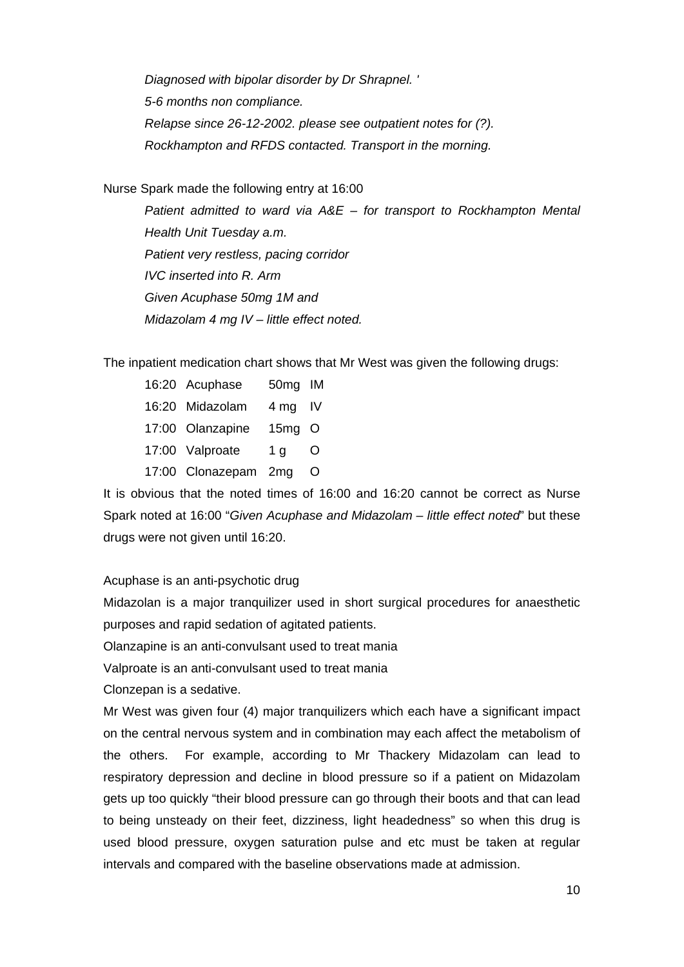*Diagnosed with bipolar disorder by Dr Shrapnel. ' 5-6 months non compliance. Relapse since 26-12-2002. please see outpatient notes for (?). Rockhampton and RFDS contacted. Transport in the morning.* 

Nurse Spark made the following entry at 16:00

*Patient admitted to ward via A&E – for transport to Rockhampton Mental Health Unit Tuesday a.m. Patient very restless, pacing corridor IVC inserted into R. Arm Given Acuphase 50mg 1M and Midazolam 4 mg IV – little effect noted.* 

The inpatient medication chart shows that Mr West was given the following drugs:

|  | 16:20 Acuphase       | 50mg IM           |   |
|--|----------------------|-------------------|---|
|  | 16:20 Midazolam      | $4 \text{ mg}$ IV |   |
|  | 17:00 Olanzapine     | 15mg O            |   |
|  | 17:00 Valproate      | 1 a               | O |
|  | 17:00 Clonazepam 2mg |                   |   |

It is obvious that the noted times of 16:00 and 16:20 cannot be correct as Nurse Spark noted at 16:00 "*Given Acuphase and Midazolam – little effect noted*" but these drugs were not given until 16:20.

Acuphase is an anti-psychotic drug

Midazolan is a major tranquilizer used in short surgical procedures for anaesthetic purposes and rapid sedation of agitated patients.

Olanzapine is an anti-convulsant used to treat mania

Valproate is an anti-convulsant used to treat mania

Clonzepan is a sedative.

Mr West was given four (4) major tranquilizers which each have a significant impact on the central nervous system and in combination may each affect the metabolism of the others. For example, according to Mr Thackery Midazolam can lead to respiratory depression and decline in blood pressure so if a patient on Midazolam gets up too quickly "their blood pressure can go through their boots and that can lead to being unsteady on their feet, dizziness, light headedness" so when this drug is used blood pressure, oxygen saturation pulse and etc must be taken at regular intervals and compared with the baseline observations made at admission.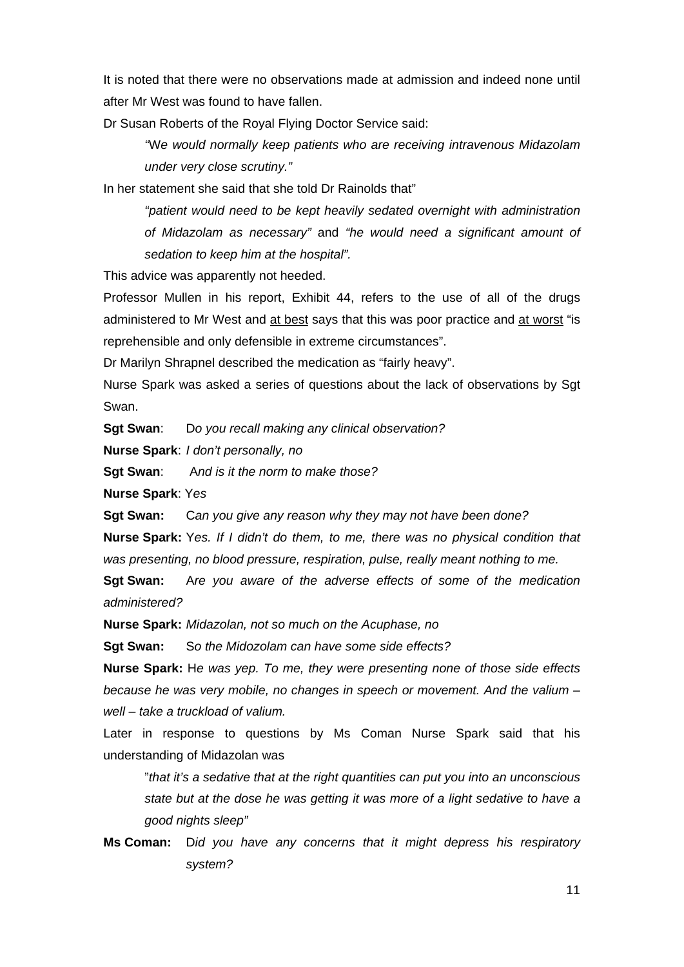It is noted that there were no observations made at admission and indeed none until after Mr West was found to have fallen.

Dr Susan Roberts of the Royal Flying Doctor Service said:

*"*W*e would normally keep patients who are receiving intravenous Midazolam under very close scrutiny."* 

In her statement she said that she told Dr Rainolds that"

*"patient would need to be kept heavily sedated overnight with administration of Midazolam as necessary"* and *"he would need a significant amount of sedation to keep him at the hospital".*

This advice was apparently not heeded.

Professor Mullen in his report, Exhibit 44, refers to the use of all of the drugs administered to Mr West and at best says that this was poor practice and at worst "is reprehensible and only defensible in extreme circumstances".

Dr Marilyn Shrapnel described the medication as "fairly heavy".

Nurse Spark was asked a series of questions about the lack of observations by Sgt Swan.

**Sgt Swan**: D*o you recall making any clinical observation?* 

**Nurse Spark**: *I don't personally, no* 

**Sgt Swan**: A*nd is it the norm to make those?* 

**Nurse Spark**: Y*es*

**Sgt Swan:** C*an you give any reason why they may not have been done?* 

**Nurse Spark:** Y*es. If I didn't do them, to me, there was no physical condition that*  was presenting, no blood pressure, respiration, pulse, really meant nothing to me.

**Sgt Swan:** A*re you aware of the adverse effects of some of the medication administered?* 

**Nurse Spark:** *Midazolan, not so much on the Acuphase, no* 

**Sgt Swan:** S*o the Midozolam can have some side effects?* 

**Nurse Spark:** H*e was yep. To me, they were presenting none of those side effects because he was very mobile, no changes in speech or movement. And the valium – well – take a truckload of valium.* 

Later in response to questions by Ms Coman Nurse Spark said that his understanding of Midazolan was

"*that it's a sedative that at the right quantities can put you into an unconscious state but at the dose he was getting it was more of a light sedative to have a good nights sleep"* 

**Ms Coman:** D*id you have any concerns that it might depress his respiratory system?*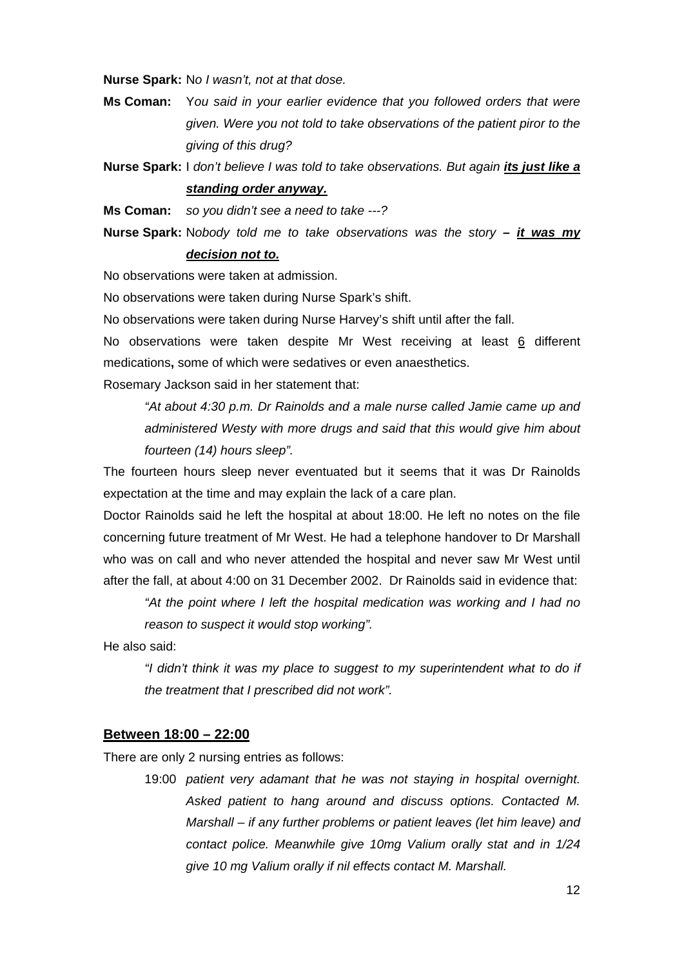**Nurse Spark:** N*o I wasn't, not at that dose.* 

**Ms Coman:** Y*ou said in your earlier evidence that you followed orders that were given. Were you not told to take observations of the patient piror to the giving of this drug?* 

**Nurse Spark:** I *don't believe I was told to take observations. But again its just like a standing order anyway.*

**Ms Coman:** *so you didn't see a need to take ---?* 

**Nurse Spark:** Nobody told me to take observations was the story – *it was my* 

# *decision not to.*

No observations were taken at admission.

No observations were taken during Nurse Spark's shift.

No observations were taken during Nurse Harvey's shift until after the fall.

No observations were taken despite Mr West receiving at least 6 different medications**,** some of which were sedatives or even anaesthetics.

Rosemary Jackson said in her statement that:

*"At about 4:30 p.m. Dr Rainolds and a male nurse called Jamie came up and administered Westy with more drugs and said that this would give him about fourteen (14) hours sleep".* 

The fourteen hours sleep never eventuated but it seems that it was Dr Rainolds expectation at the time and may explain the lack of a care plan.

Doctor Rainolds said he left the hospital at about 18:00. He left no notes on the file concerning future treatment of Mr West. He had a telephone handover to Dr Marshall who was on call and who never attended the hospital and never saw Mr West until after the fall, at about 4:00 on 31 December 2002. Dr Rainolds said in evidence that:

*"At the point where I left the hospital medication was working and I had no reason to suspect it would stop working".* 

He also said:

*"I didn't think it was my place to suggest to my superintendent what to do if the treatment that I prescribed did not work".* 

#### **Between 18:00 – 22:00**

There are only 2 nursing entries as follows:

19:00 *patient very adamant that he was not staying in hospital overnight. Asked patient to hang around and discuss options. Contacted M. Marshall – if any further problems or patient leaves (let him leave) and contact police. Meanwhile give 10mg Valium orally stat and in 1/24 give 10 mg Valium orally if nil effects contact M. Marshall.*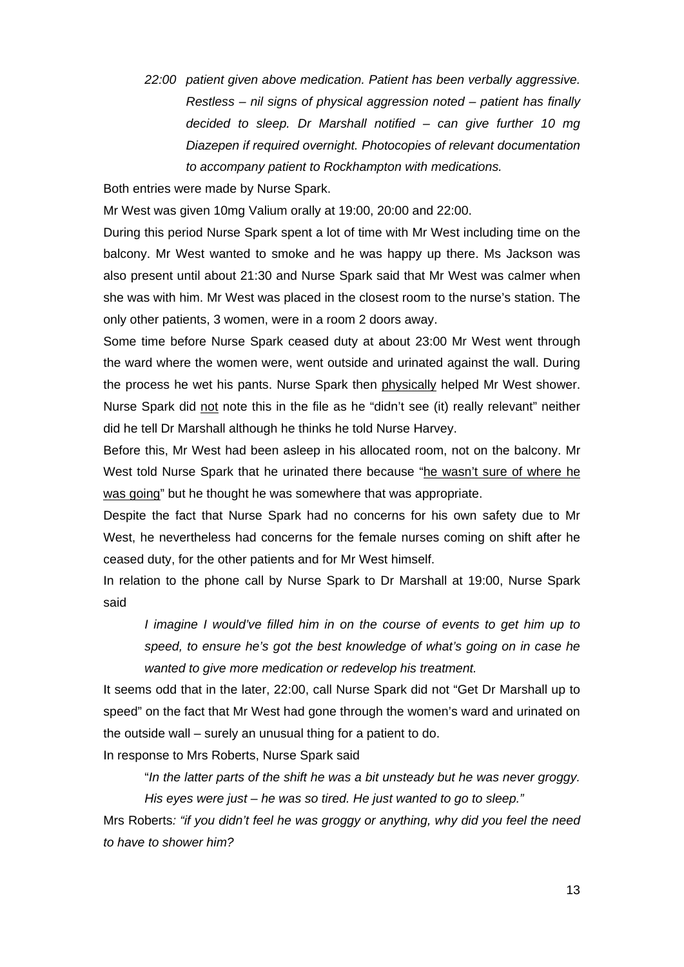*22:00 patient given above medication. Patient has been verbally aggressive. Restless – nil signs of physical aggression noted – patient has finally decided to sleep. Dr Marshall notified – can give further 10 mg Diazepen if required overnight. Photocopies of relevant documentation to accompany patient to Rockhampton with medications.* 

Both entries were made by Nurse Spark.

Mr West was given 10mg Valium orally at 19:00, 20:00 and 22:00.

During this period Nurse Spark spent a lot of time with Mr West including time on the balcony. Mr West wanted to smoke and he was happy up there. Ms Jackson was also present until about 21:30 and Nurse Spark said that Mr West was calmer when she was with him. Mr West was placed in the closest room to the nurse's station. The only other patients, 3 women, were in a room 2 doors away.

Some time before Nurse Spark ceased duty at about 23:00 Mr West went through the ward where the women were, went outside and urinated against the wall. During the process he wet his pants. Nurse Spark then physically helped Mr West shower. Nurse Spark did not note this in the file as he "didn't see (it) really relevant" neither did he tell Dr Marshall although he thinks he told Nurse Harvey.

Before this, Mr West had been asleep in his allocated room, not on the balcony. Mr West told Nurse Spark that he urinated there because "he wasn't sure of where he was going" but he thought he was somewhere that was appropriate.

Despite the fact that Nurse Spark had no concerns for his own safety due to Mr West, he nevertheless had concerns for the female nurses coming on shift after he ceased duty, for the other patients and for Mr West himself.

In relation to the phone call by Nurse Spark to Dr Marshall at 19:00, Nurse Spark said

*I imagine I would've filled him in on the course of events to get him up to speed, to ensure he's got the best knowledge of what's going on in case he wanted to give more medication or redevelop his treatment.* 

It seems odd that in the later, 22:00, call Nurse Spark did not "Get Dr Marshall up to speed" on the fact that Mr West had gone through the women's ward and urinated on the outside wall – surely an unusual thing for a patient to do.

In response to Mrs Roberts, Nurse Spark said

"*In the latter parts of the shift he was a bit unsteady but he was never groggy.* 

*His eyes were just – he was so tired. He just wanted to go to sleep."* 

Mrs Roberts*: "if you didn't feel he was groggy or anything, why did you feel the need to have to shower him?*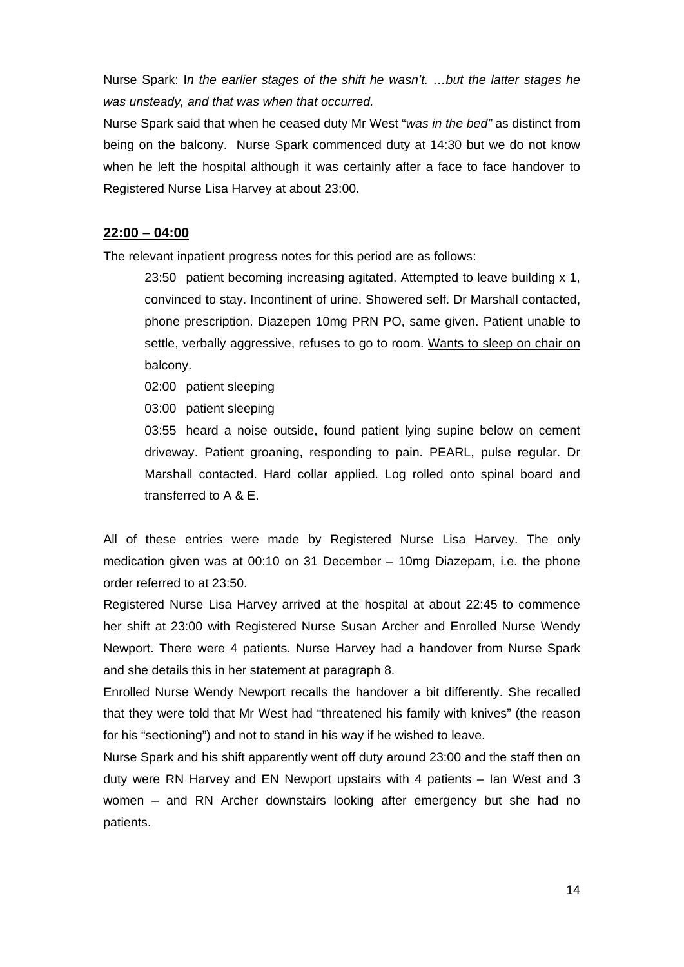Nurse Spark: I*n the earlier stages of the shift he wasn't. …but the latter stages he was unsteady, and that was when that occurred.* 

Nurse Spark said that when he ceased duty Mr West "*was in the bed"* as distinct from being on the balcony. Nurse Spark commenced duty at 14:30 but we do not know when he left the hospital although it was certainly after a face to face handover to Registered Nurse Lisa Harvey at about 23:00.

### **22:00 – 04:00**

The relevant inpatient progress notes for this period are as follows:

23:50 patient becoming increasing agitated. Attempted to leave building x 1, convinced to stay. Incontinent of urine. Showered self. Dr Marshall contacted, phone prescription. Diazepen 10mg PRN PO, same given. Patient unable to settle, verbally aggressive, refuses to go to room. Wants to sleep on chair on balcony.

02:00 patient sleeping

03:00 patient sleeping

03:55 heard a noise outside, found patient lying supine below on cement driveway. Patient groaning, responding to pain. PEARL, pulse regular. Dr Marshall contacted. Hard collar applied. Log rolled onto spinal board and transferred to A & E.

All of these entries were made by Registered Nurse Lisa Harvey. The only medication given was at 00:10 on 31 December – 10mg Diazepam, i.e. the phone order referred to at 23:50.

Registered Nurse Lisa Harvey arrived at the hospital at about 22:45 to commence her shift at 23:00 with Registered Nurse Susan Archer and Enrolled Nurse Wendy Newport. There were 4 patients. Nurse Harvey had a handover from Nurse Spark and she details this in her statement at paragraph 8.

Enrolled Nurse Wendy Newport recalls the handover a bit differently. She recalled that they were told that Mr West had "threatened his family with knives" (the reason for his "sectioning") and not to stand in his way if he wished to leave.

Nurse Spark and his shift apparently went off duty around 23:00 and the staff then on duty were RN Harvey and EN Newport upstairs with 4 patients – Ian West and 3 women – and RN Archer downstairs looking after emergency but she had no patients.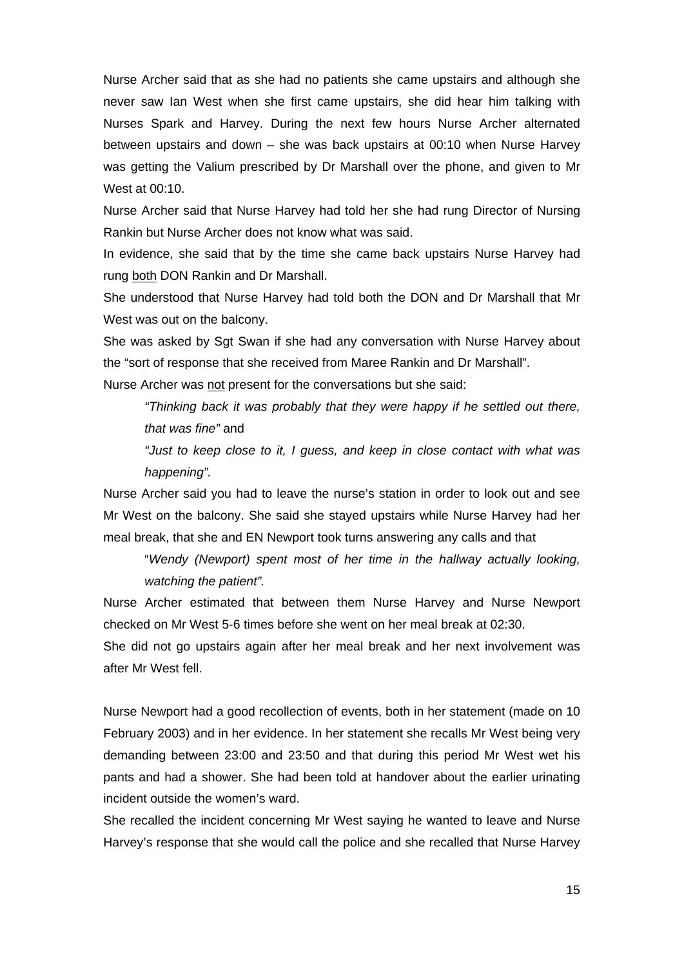Nurse Archer said that as she had no patients she came upstairs and although she never saw Ian West when she first came upstairs, she did hear him talking with Nurses Spark and Harvey. During the next few hours Nurse Archer alternated between upstairs and down – she was back upstairs at 00:10 when Nurse Harvey was getting the Valium prescribed by Dr Marshall over the phone, and given to Mr West at 00:10.

Nurse Archer said that Nurse Harvey had told her she had rung Director of Nursing Rankin but Nurse Archer does not know what was said.

In evidence, she said that by the time she came back upstairs Nurse Harvey had rung both DON Rankin and Dr Marshall.

She understood that Nurse Harvey had told both the DON and Dr Marshall that Mr West was out on the balcony.

She was asked by Sgt Swan if she had any conversation with Nurse Harvey about the "sort of response that she received from Maree Rankin and Dr Marshall". Nurse Archer was not present for the conversations but she said:

*"Thinking back it was probably that they were happy if he settled out there, that was fine"* and

*"Just to keep close to it, I guess, and keep in close contact with what was happening".* 

Nurse Archer said you had to leave the nurse's station in order to look out and see Mr West on the balcony. She said she stayed upstairs while Nurse Harvey had her meal break, that she and EN Newport took turns answering any calls and that

"*Wendy (Newport) spent most of her time in the hallway actually looking, watching the patient".* 

Nurse Archer estimated that between them Nurse Harvey and Nurse Newport checked on Mr West 5-6 times before she went on her meal break at 02:30.

She did not go upstairs again after her meal break and her next involvement was after Mr West fell.

Nurse Newport had a good recollection of events, both in her statement (made on 10 February 2003) and in her evidence. In her statement she recalls Mr West being very demanding between 23:00 and 23:50 and that during this period Mr West wet his pants and had a shower. She had been told at handover about the earlier urinating incident outside the women's ward.

She recalled the incident concerning Mr West saying he wanted to leave and Nurse Harvey's response that she would call the police and she recalled that Nurse Harvey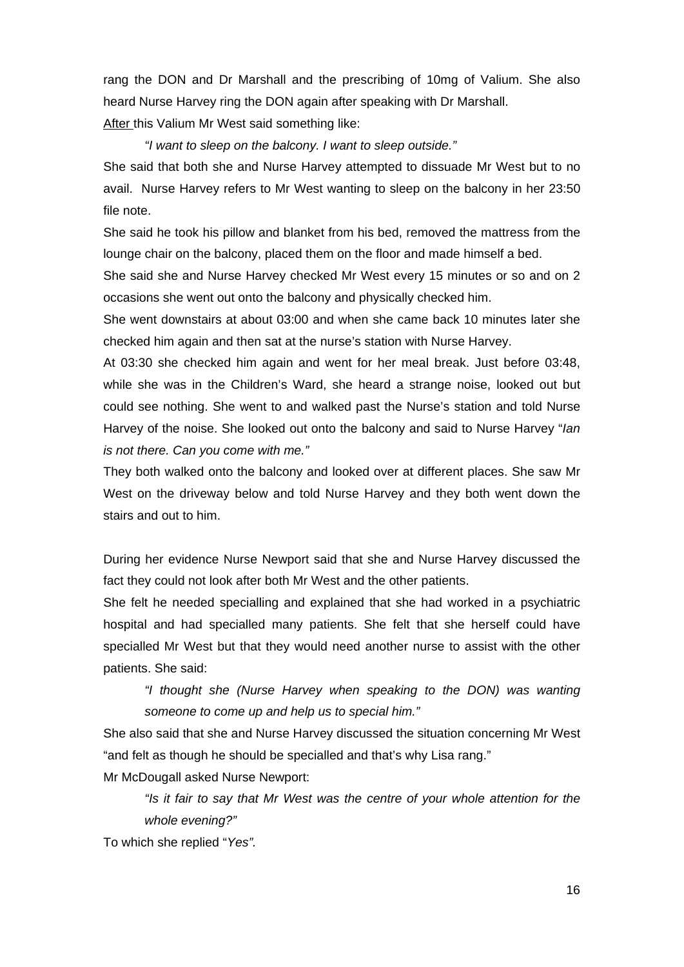rang the DON and Dr Marshall and the prescribing of 10mg of Valium. She also heard Nurse Harvey ring the DON again after speaking with Dr Marshall. After this Valium Mr West said something like:

*"I want to sleep on the balcony. I want to sleep outside."* 

She said that both she and Nurse Harvey attempted to dissuade Mr West but to no avail. Nurse Harvey refers to Mr West wanting to sleep on the balcony in her 23:50 file note.

She said he took his pillow and blanket from his bed, removed the mattress from the lounge chair on the balcony, placed them on the floor and made himself a bed.

She said she and Nurse Harvey checked Mr West every 15 minutes or so and on 2 occasions she went out onto the balcony and physically checked him.

She went downstairs at about 03:00 and when she came back 10 minutes later she checked him again and then sat at the nurse's station with Nurse Harvey.

At 03:30 she checked him again and went for her meal break. Just before 03:48, while she was in the Children's Ward, she heard a strange noise, looked out but could see nothing. She went to and walked past the Nurse's station and told Nurse Harvey of the noise. She looked out onto the balcony and said to Nurse Harvey "*Ian is not there. Can you come with me."*

They both walked onto the balcony and looked over at different places. She saw Mr West on the driveway below and told Nurse Harvey and they both went down the stairs and out to him.

During her evidence Nurse Newport said that she and Nurse Harvey discussed the fact they could not look after both Mr West and the other patients.

She felt he needed specialling and explained that she had worked in a psychiatric hospital and had specialled many patients. She felt that she herself could have specialled Mr West but that they would need another nurse to assist with the other patients. She said:

*"I thought she (Nurse Harvey when speaking to the DON) was wanting someone to come up and help us to special him."* 

She also said that she and Nurse Harvey discussed the situation concerning Mr West "and felt as though he should be specialled and that's why Lisa rang."

Mr McDougall asked Nurse Newport:

*"Is it fair to say that Mr West was the centre of your whole attention for the whole evening?"*

To which she replied "*Yes".*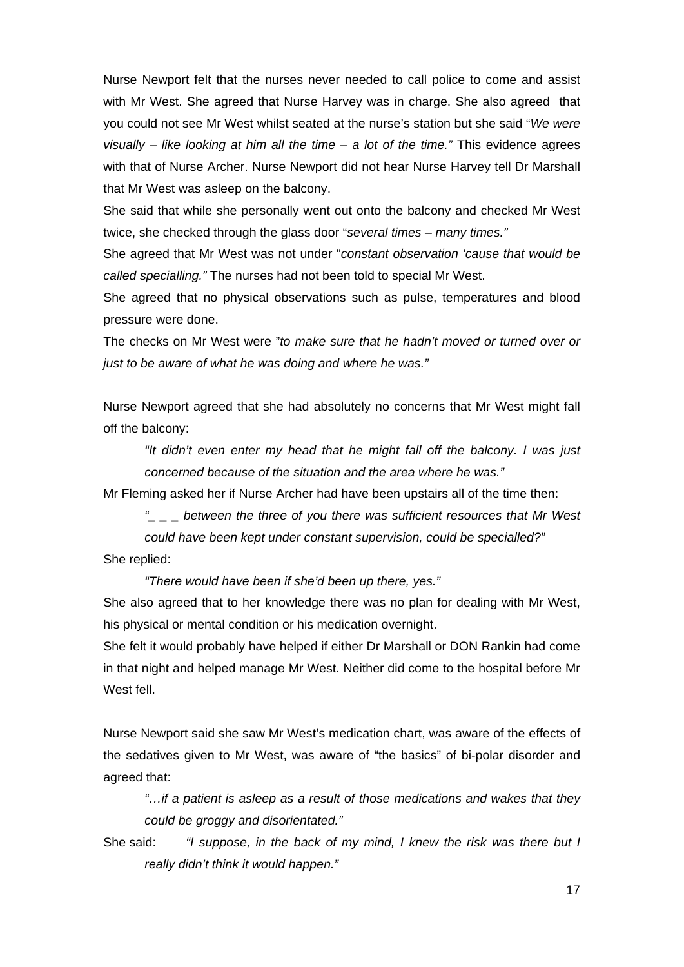Nurse Newport felt that the nurses never needed to call police to come and assist with Mr West. She agreed that Nurse Harvey was in charge. She also agreed that you could not see Mr West whilst seated at the nurse's station but she said "*We were visually – like looking at him all the time – a lot of the time."* This evidence agrees with that of Nurse Archer. Nurse Newport did not hear Nurse Harvey tell Dr Marshall that Mr West was asleep on the balcony.

She said that while she personally went out onto the balcony and checked Mr West twice, she checked through the glass door "*several times – many times."*

She agreed that Mr West was not under "*constant observation 'cause that would be called specialling."* The nurses had not been told to special Mr West.

She agreed that no physical observations such as pulse, temperatures and blood pressure were done.

The checks on Mr West were "*to make sure that he hadn't moved or turned over or just to be aware of what he was doing and where he was."* 

Nurse Newport agreed that she had absolutely no concerns that Mr West might fall off the balcony:

*"It didn't even enter my head that he might fall off the balcony. I was just concerned because of the situation and the area where he was."* 

Mr Fleming asked her if Nurse Archer had have been upstairs all of the time then:

*"\_ \_ \_ between the three of you there was sufficient resources that Mr West could have been kept under constant supervision, could be specialled?"* 

She replied:

 *"There would have been if she'd been up there, yes."* 

She also agreed that to her knowledge there was no plan for dealing with Mr West, his physical or mental condition or his medication overnight.

She felt it would probably have helped if either Dr Marshall or DON Rankin had come in that night and helped manage Mr West. Neither did come to the hospital before Mr West fell.

Nurse Newport said she saw Mr West's medication chart, was aware of the effects of the sedatives given to Mr West, was aware of "the basics" of bi-polar disorder and agreed that:

*"…if a patient is asleep as a result of those medications and wakes that they could be groggy and disorientated."* 

She said: *"I suppose, in the back of my mind, I knew the risk was there but I really didn't think it would happen."*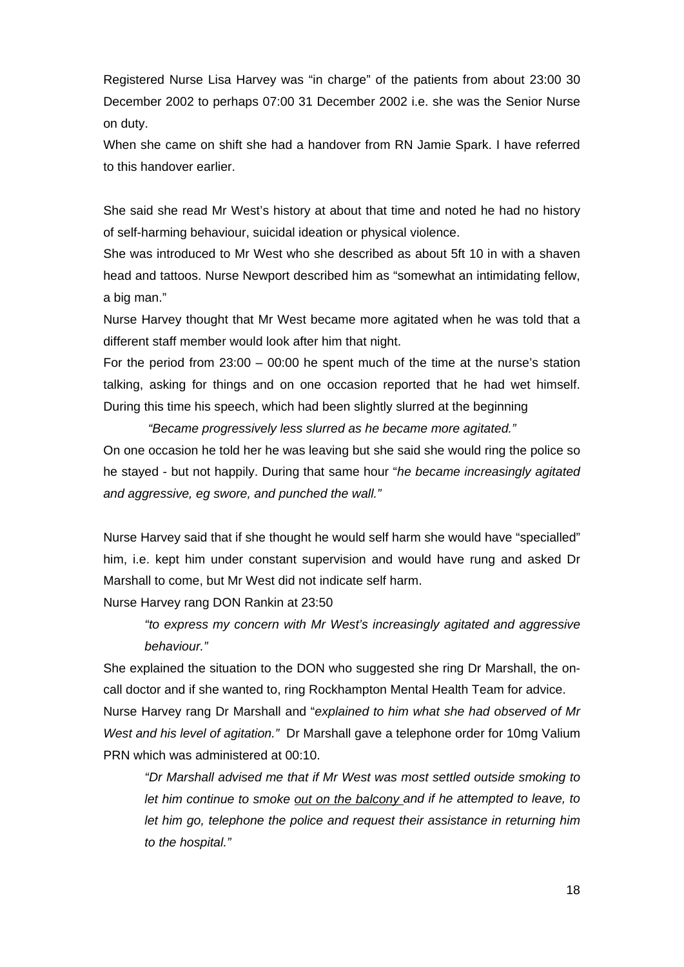Registered Nurse Lisa Harvey was "in charge" of the patients from about 23:00 30 December 2002 to perhaps 07:00 31 December 2002 i.e. she was the Senior Nurse on duty.

When she came on shift she had a handover from RN Jamie Spark. I have referred to this handover earlier.

She said she read Mr West's history at about that time and noted he had no history of self-harming behaviour, suicidal ideation or physical violence.

She was introduced to Mr West who she described as about 5ft 10 in with a shaven head and tattoos. Nurse Newport described him as "somewhat an intimidating fellow, a big man."

Nurse Harvey thought that Mr West became more agitated when he was told that a different staff member would look after him that night.

For the period from 23:00 – 00:00 he spent much of the time at the nurse's station talking, asking for things and on one occasion reported that he had wet himself. During this time his speech, which had been slightly slurred at the beginning

 *"Became progressively less slurred as he became more agitated."*  On one occasion he told her he was leaving but she said she would ring the police so he stayed - but not happily. During that same hour "*he became increasingly agitated and aggressive, eg swore, and punched the wall."* 

Nurse Harvey said that if she thought he would self harm she would have "specialled" him, i.e. kept him under constant supervision and would have rung and asked Dr Marshall to come, but Mr West did not indicate self harm.

Nurse Harvey rang DON Rankin at 23:50

*"to express my concern with Mr West's increasingly agitated and aggressive behaviour."* 

She explained the situation to the DON who suggested she ring Dr Marshall, the oncall doctor and if she wanted to, ring Rockhampton Mental Health Team for advice. Nurse Harvey rang Dr Marshall and "*explained to him what she had observed of Mr West and his level of agitation."* Dr Marshall gave a telephone order for 10mg Valium PRN which was administered at 00:10.

*"Dr Marshall advised me that if Mr West was most settled outside smoking to let him continue to smoke out on the balcony and if he attempted to leave, to let him go, telephone the police and request their assistance in returning him to the hospital."*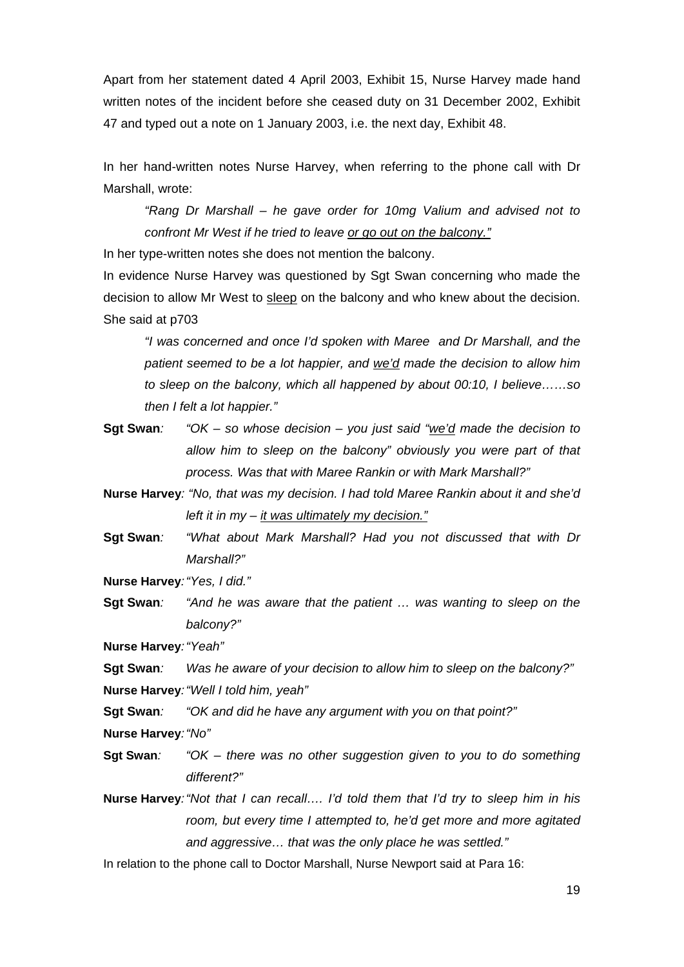Apart from her statement dated 4 April 2003, Exhibit 15, Nurse Harvey made hand written notes of the incident before she ceased duty on 31 December 2002, Exhibit 47 and typed out a note on 1 January 2003, i.e. the next day, Exhibit 48.

In her hand-written notes Nurse Harvey, when referring to the phone call with Dr Marshall, wrote:

*"Rang Dr Marshall – he gave order for 10mg Valium and advised not to confront Mr West if he tried to leave or go out on the balcony."* 

In her type-written notes she does not mention the balcony.

In evidence Nurse Harvey was questioned by Sgt Swan concerning who made the decision to allow Mr West to sleep on the balcony and who knew about the decision. She said at p703

*"I was concerned and once I'd spoken with Maree and Dr Marshall, and the patient seemed to be a lot happier, and we'd made the decision to allow him to sleep on the balcony, which all happened by about 00:10, I believe……so then I felt a lot happier."* 

- **Sgt Swan***: "OK so whose decision you just said "we'd made the decision to allow him to sleep on the balcony" obviously you were part of that process. Was that with Maree Rankin or with Mark Marshall?"*
- **Nurse Harvey***: "No, that was my decision. I had told Maree Rankin about it and she'd left it in my – it was ultimately my decision."*
- **Sgt Swan***: "What about Mark Marshall? Had you not discussed that with Dr Marshall?"*

**Nurse Harvey***: "Yes, I did."* 

**Sgt Swan***: "And he was aware that the patient … was wanting to sleep on the balcony?"* 

**Nurse Harvey***: "Yeah"* 

**Sgt Swan***: Was he aware of your decision to allow him to sleep on the balcony?"* 

**Nurse Harvey***: "Well I told him, yeah"* 

**Sgt Swan***: "OK and did he have any argument with you on that point?"* 

**Nurse Harvey***: "No"* 

- **Sgt Swan***: "OK there was no other suggestion given to you to do something different?"*
- **Nurse Harvey***: "Not that I can recall…. I'd told them that I'd try to sleep him in his room, but every time I attempted to, he'd get more and more agitated and aggressive… that was the only place he was settled."*

In relation to the phone call to Doctor Marshall, Nurse Newport said at Para 16: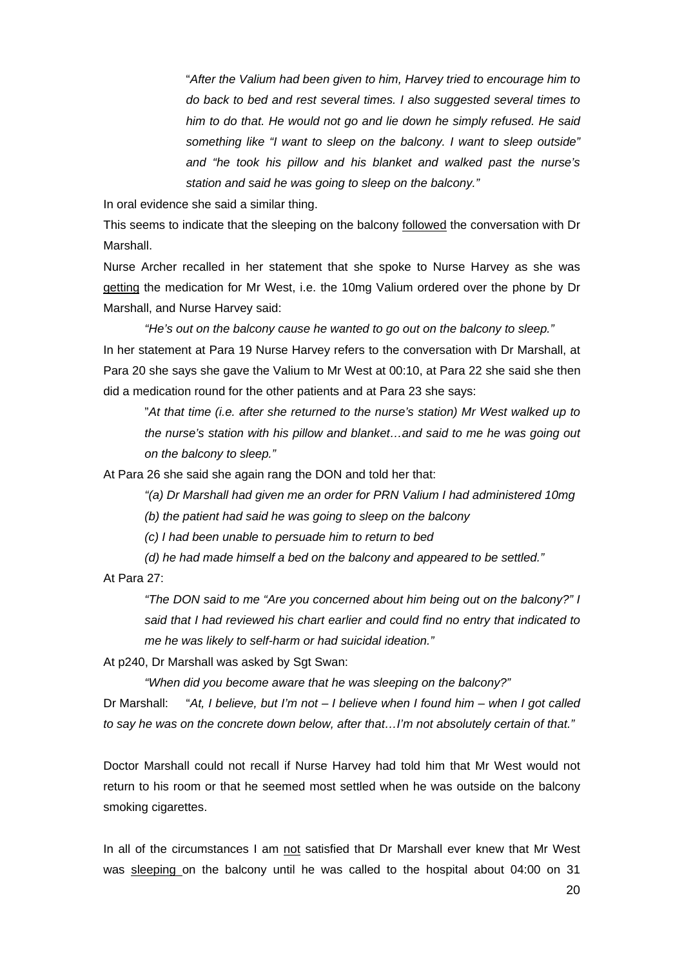"*After the Valium had been given to him, Harvey tried to encourage him to do back to bed and rest several times. I also suggested several times to him to do that. He would not go and lie down he simply refused. He said something like "I want to sleep on the balcony. I want to sleep outside" and "he took his pillow and his blanket and walked past the nurse's station and said he was going to sleep on the balcony."* 

In oral evidence she said a similar thing.

This seems to indicate that the sleeping on the balcony followed the conversation with Dr Marshall.

Nurse Archer recalled in her statement that she spoke to Nurse Harvey as she was getting the medication for Mr West, i.e. the 10mg Valium ordered over the phone by Dr Marshall, and Nurse Harvey said:

*"He's out on the balcony cause he wanted to go out on the balcony to sleep."*  In her statement at Para 19 Nurse Harvey refers to the conversation with Dr Marshall, at Para 20 she says she gave the Valium to Mr West at 00:10, at Para 22 she said she then did a medication round for the other patients and at Para 23 she says:

"*At that time (i.e. after she returned to the nurse's station) Mr West walked up to the nurse's station with his pillow and blanket…and said to me he was going out on the balcony to sleep."* 

At Para 26 she said she again rang the DON and told her that:

*"(a) Dr Marshall had given me an order for PRN Valium I had administered 10mg* 

 *(b) the patient had said he was going to sleep on the balcony* 

 *(c) I had been unable to persuade him to return to bed* 

 *(d) he had made himself a bed on the balcony and appeared to be settled."* 

At Para 27:

*"The DON said to me "Are you concerned about him being out on the balcony?" I said that I had reviewed his chart earlier and could find no entry that indicated to me he was likely to self-harm or had suicidal ideation."* 

At p240, Dr Marshall was asked by Sqt Swan:

*"When did you become aware that he was sleeping on the balcony?"* 

Dr Marshall: "*At, I believe, but I'm not – I believe when I found him – when I got called to say he was on the concrete down below, after that…I'm not absolutely certain of that."* 

Doctor Marshall could not recall if Nurse Harvey had told him that Mr West would not return to his room or that he seemed most settled when he was outside on the balcony smoking cigarettes.

In all of the circumstances I am not satisfied that Dr Marshall ever knew that Mr West was sleeping on the balcony until he was called to the hospital about 04:00 on 31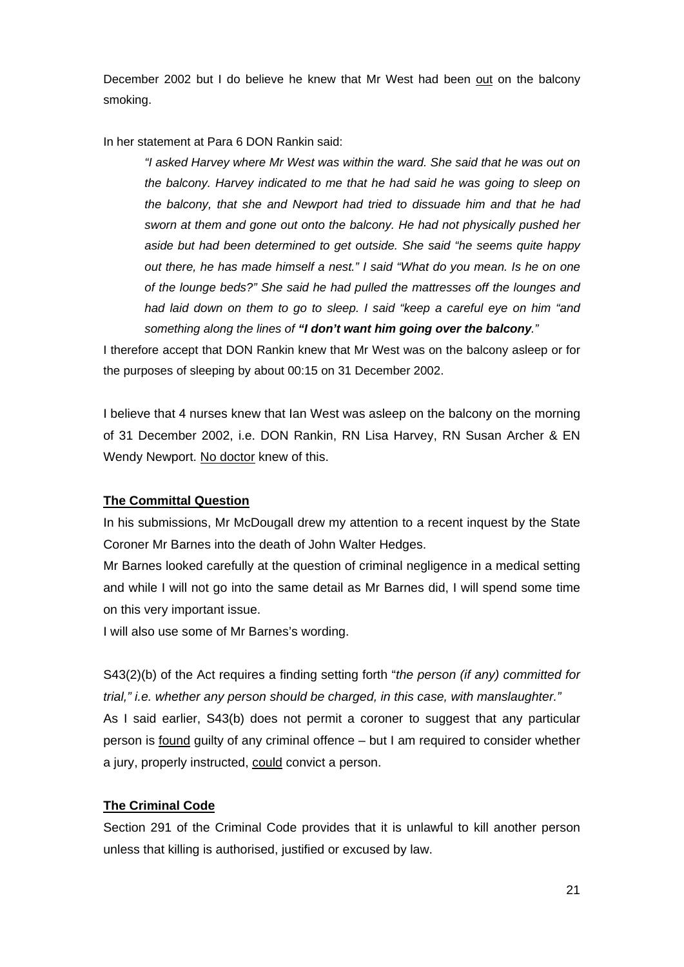December 2002 but I do believe he knew that Mr West had been out on the balcony smoking.

In her statement at Para 6 DON Rankin said:

*"I asked Harvey where Mr West was within the ward. She said that he was out on the balcony. Harvey indicated to me that he had said he was going to sleep on the balcony, that she and Newport had tried to dissuade him and that he had sworn at them and gone out onto the balcony. He had not physically pushed her aside but had been determined to get outside. She said "he seems quite happy out there, he has made himself a nest." I said "What do you mean. Is he on one of the lounge beds?" She said he had pulled the mattresses off the lounges and had laid down on them to go to sleep. I said "keep a careful eye on him "and something along the lines of "I don't want him going over the balcony."* 

I therefore accept that DON Rankin knew that Mr West was on the balcony asleep or for the purposes of sleeping by about 00:15 on 31 December 2002.

I believe that 4 nurses knew that Ian West was asleep on the balcony on the morning of 31 December 2002, i.e. DON Rankin, RN Lisa Harvey, RN Susan Archer & EN Wendy Newport. No doctor knew of this.

# **The Committal Question**

In his submissions, Mr McDougall drew my attention to a recent inquest by the State Coroner Mr Barnes into the death of John Walter Hedges.

Mr Barnes looked carefully at the question of criminal negligence in a medical setting and while I will not go into the same detail as Mr Barnes did, I will spend some time on this very important issue.

I will also use some of Mr Barnes's wording.

S43(2)(b) of the Act requires a finding setting forth "*the person (if any) committed for trial," i.e. whether any person should be charged, in this case, with manslaughter."* As I said earlier, S43(b) does not permit a coroner to suggest that any particular person is found guilty of any criminal offence – but I am required to consider whether a jury, properly instructed, could convict a person.

# **The Criminal Code**

Section 291 of the Criminal Code provides that it is unlawful to kill another person unless that killing is authorised, justified or excused by law.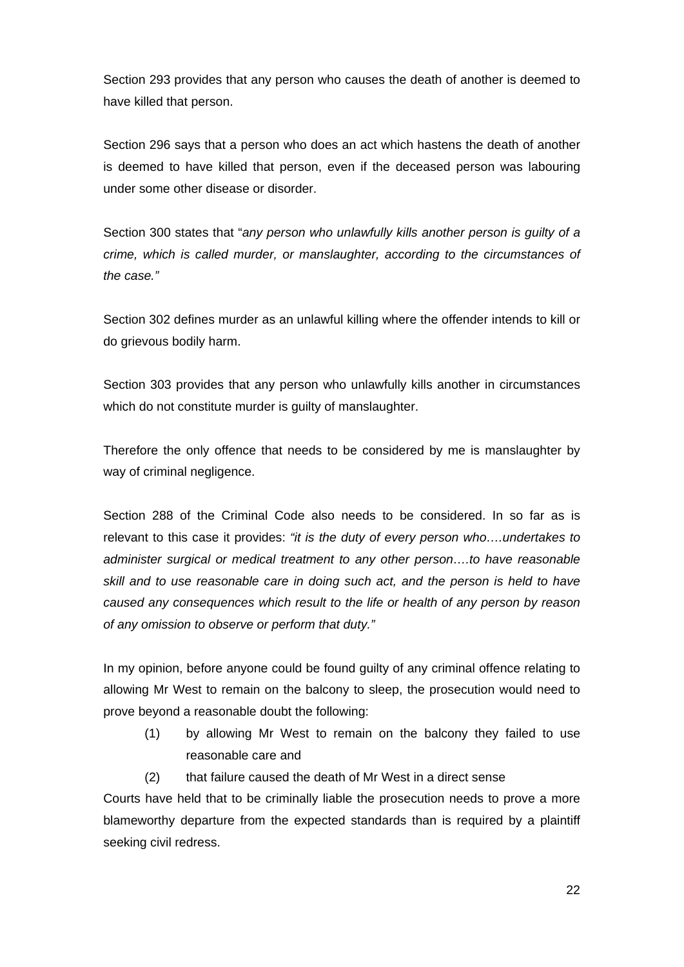Section 293 provides that any person who causes the death of another is deemed to have killed that person.

Section 296 says that a person who does an act which hastens the death of another is deemed to have killed that person, even if the deceased person was labouring under some other disease or disorder.

Section 300 states that "*any person who unlawfully kills another person is guilty of a crime, which is called murder, or manslaughter, according to the circumstances of the case."* 

Section 302 defines murder as an unlawful killing where the offender intends to kill or do grievous bodily harm.

Section 303 provides that any person who unlawfully kills another in circumstances which do not constitute murder is guilty of manslaughter.

Therefore the only offence that needs to be considered by me is manslaughter by way of criminal negligence.

Section 288 of the Criminal Code also needs to be considered. In so far as is relevant to this case it provides: *"it is the duty of every person who….undertakes to administer surgical or medical treatment to any other person….to have reasonable skill and to use reasonable care in doing such act, and the person is held to have caused any consequences which result to the life or health of any person by reason of any omission to observe or perform that duty."* 

In my opinion, before anyone could be found guilty of any criminal offence relating to allowing Mr West to remain on the balcony to sleep, the prosecution would need to prove beyond a reasonable doubt the following:

- (1) by allowing Mr West to remain on the balcony they failed to use reasonable care and
- (2) that failure caused the death of Mr West in a direct sense

Courts have held that to be criminally liable the prosecution needs to prove a more blameworthy departure from the expected standards than is required by a plaintiff seeking civil redress.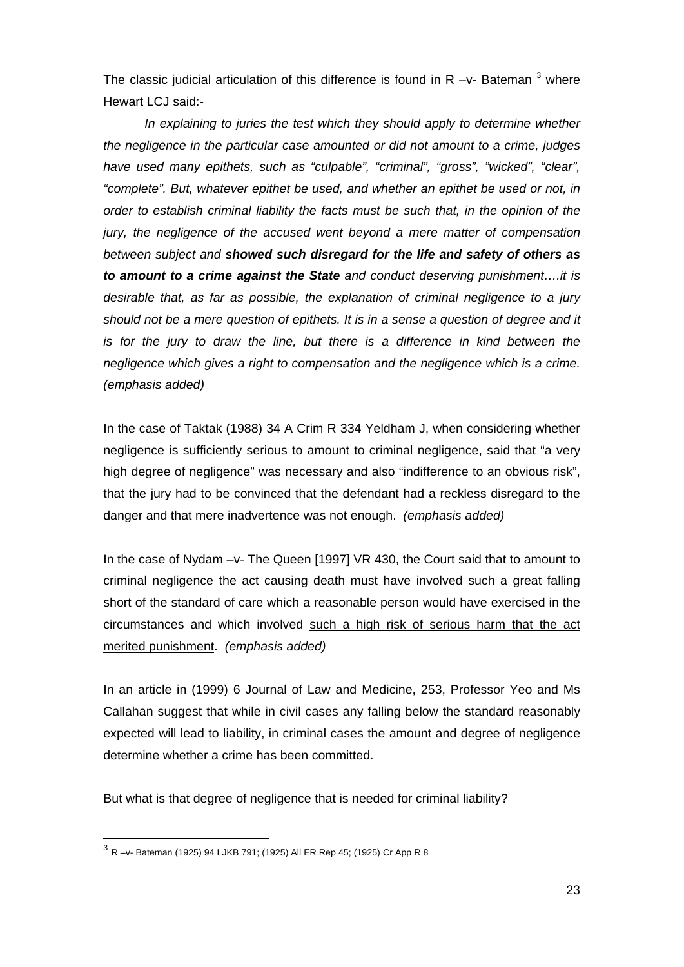The classic judicial articulation of this difference is found in R  $-v$ - Bateman  $3$  where Hewart LCJ said:-

*In explaining to juries the test which they should apply to determine whether the negligence in the particular case amounted or did not amount to a crime, judges*  have used many epithets, such as "culpable", "criminal", "gross", "wicked", "clear", *"complete". But, whatever epithet be used, and whether an epithet be used or not, in order to establish criminal liability the facts must be such that, in the opinion of the jury, the negligence of the accused went beyond a mere matter of compensation between subject and showed such disregard for the life and safety of others as to amount to a crime against the State and conduct deserving punishment….it is desirable that, as far as possible, the explanation of criminal negligence to a jury should not be a mere question of epithets. It is in a sense a question of degree and it is for the jury to draw the line, but there is a difference in kind between the negligence which gives a right to compensation and the negligence which is a crime. (emphasis added)* 

In the case of Taktak (1988) 34 A Crim R 334 Yeldham J, when considering whether negligence is sufficiently serious to amount to criminal negligence, said that "a very high degree of negligence" was necessary and also "indifference to an obvious risk", that the jury had to be convinced that the defendant had a reckless disregard to the danger and that mere inadvertence was not enough. *(emphasis added)*

In the case of Nydam –v- The Queen [1997] VR 430, the Court said that to amount to criminal negligence the act causing death must have involved such a great falling short of the standard of care which a reasonable person would have exercised in the circumstances and which involved such a high risk of serious harm that the act merited punishment. *(emphasis added)*

In an article in (1999) 6 Journal of Law and Medicine, 253, Professor Yeo and Ms Callahan suggest that while in civil cases any falling below the standard reasonably expected will lead to liability, in criminal cases the amount and degree of negligence determine whether a crime has been committed.

But what is that degree of negligence that is needed for criminal liability?

-

<sup>3</sup> R –v- Bateman (1925) 94 LJKB 791; (1925) All ER Rep 45; (1925) Cr App R 8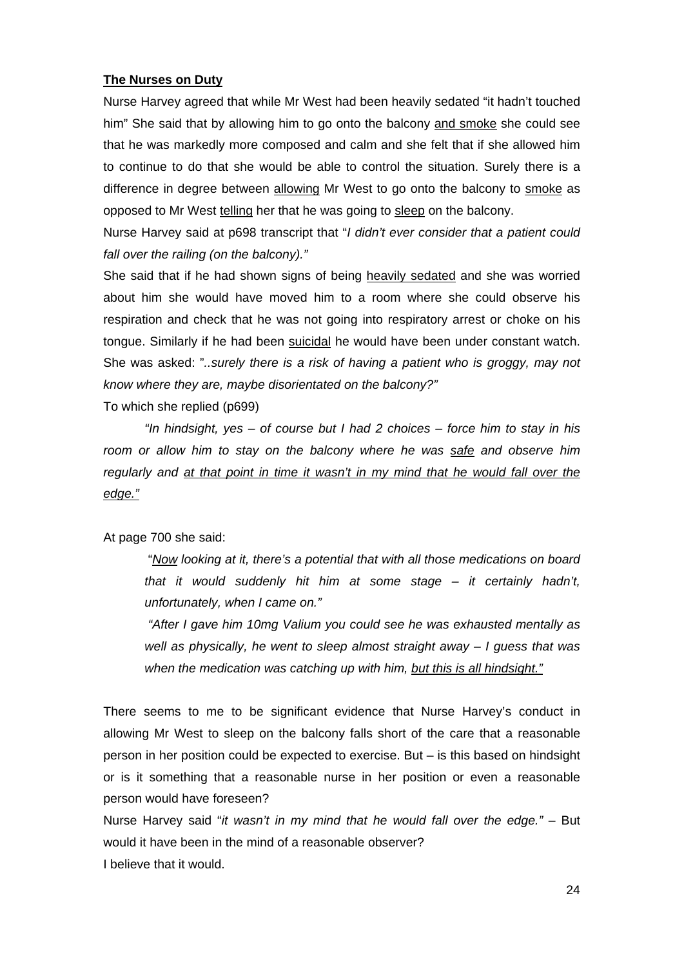### **The Nurses on Duty**

Nurse Harvey agreed that while Mr West had been heavily sedated "it hadn't touched him" She said that by allowing him to go onto the balcony and smoke she could see that he was markedly more composed and calm and she felt that if she allowed him to continue to do that she would be able to control the situation. Surely there is a difference in degree between allowing Mr West to go onto the balcony to smoke as opposed to Mr West telling her that he was going to sleep on the balcony.

Nurse Harvey said at p698 transcript that "*I didn't ever consider that a patient could fall over the railing (on the balcony)."* 

She said that if he had shown signs of being heavily sedated and she was worried about him she would have moved him to a room where she could observe his respiration and check that he was not going into respiratory arrest or choke on his tongue. Similarly if he had been suicidal he would have been under constant watch. She was asked: "*..surely there is a risk of having a patient who is groggy, may not know where they are, maybe disorientated on the balcony?"* 

To which she replied (p699)

 *"In hindsight, yes – of course but I had 2 choices – force him to stay in his room or allow him to stay on the balcony where he was safe and observe him regularly and at that point in time it wasn't in my mind that he would fall over the edge."*

#### At page 700 she said:

"*Now looking at it, there's a potential that with all those medications on board that it would suddenly hit him at some stage – it certainly hadn't, unfortunately, when I came on."*

*"After I gave him 10mg Valium you could see he was exhausted mentally as well as physically, he went to sleep almost straight away – I guess that was when the medication was catching up with him, but this is all hindsight."*

There seems to me to be significant evidence that Nurse Harvey's conduct in allowing Mr West to sleep on the balcony falls short of the care that a reasonable person in her position could be expected to exercise. But – is this based on hindsight or is it something that a reasonable nurse in her position or even a reasonable person would have foreseen?

Nurse Harvey said "*it wasn't in my mind that he would fall over the edge."* – But would it have been in the mind of a reasonable observer? I believe that it would.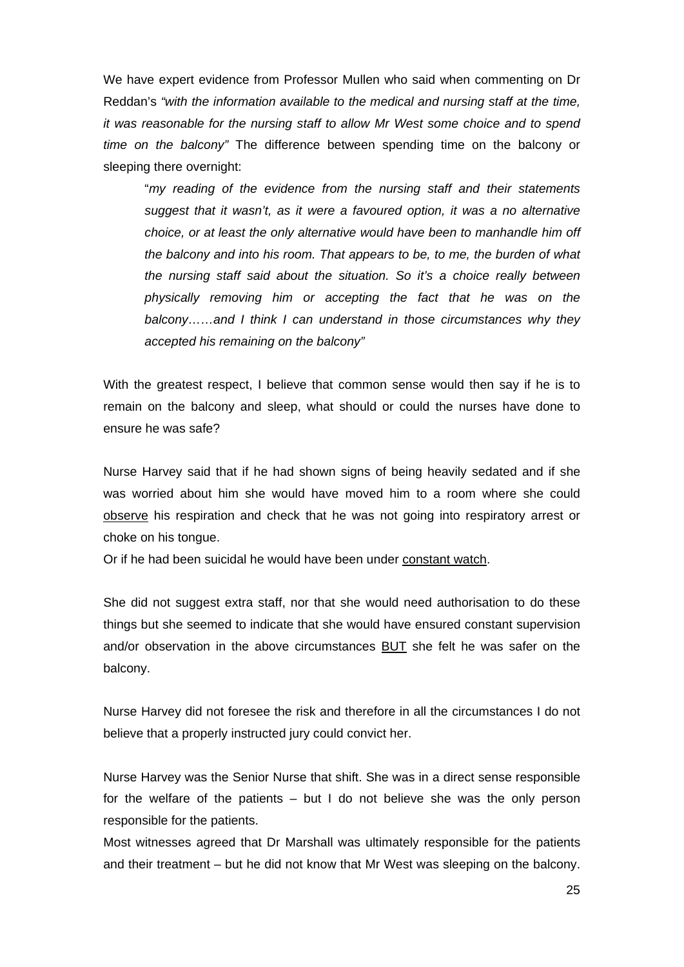We have expert evidence from Professor Mullen who said when commenting on Dr Reddan's *"with the information available to the medical and nursing staff at the time, it was reasonable for the nursing staff to allow Mr West some choice and to spend time on the balcony"* The difference between spending time on the balcony or sleeping there overnight:

"*my reading of the evidence from the nursing staff and their statements suggest that it wasn't, as it were a favoured option, it was a no alternative choice, or at least the only alternative would have been to manhandle him off the balcony and into his room. That appears to be, to me, the burden of what the nursing staff said about the situation. So it's a choice really between physically removing him or accepting the fact that he was on the balcony……and I think I can understand in those circumstances why they accepted his remaining on the balcony"* 

With the greatest respect, I believe that common sense would then say if he is to remain on the balcony and sleep, what should or could the nurses have done to ensure he was safe?

Nurse Harvey said that if he had shown signs of being heavily sedated and if she was worried about him she would have moved him to a room where she could observe his respiration and check that he was not going into respiratory arrest or choke on his tongue.

Or if he had been suicidal he would have been under constant watch.

She did not suggest extra staff, nor that she would need authorisation to do these things but she seemed to indicate that she would have ensured constant supervision and/or observation in the above circumstances BUT she felt he was safer on the balcony.

Nurse Harvey did not foresee the risk and therefore in all the circumstances I do not believe that a properly instructed jury could convict her.

Nurse Harvey was the Senior Nurse that shift. She was in a direct sense responsible for the welfare of the patients – but I do not believe she was the only person responsible for the patients.

Most witnesses agreed that Dr Marshall was ultimately responsible for the patients and their treatment – but he did not know that Mr West was sleeping on the balcony.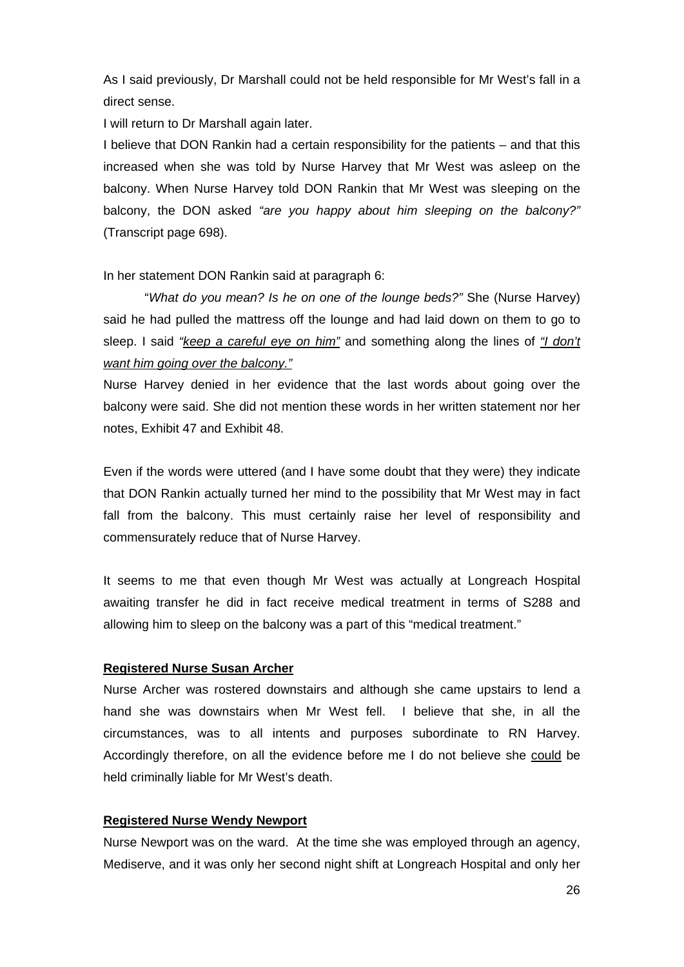As I said previously, Dr Marshall could not be held responsible for Mr West's fall in a direct sense.

I will return to Dr Marshall again later.

I believe that DON Rankin had a certain responsibility for the patients – and that this increased when she was told by Nurse Harvey that Mr West was asleep on the balcony. When Nurse Harvey told DON Rankin that Mr West was sleeping on the balcony, the DON asked *"are you happy about him sleeping on the balcony?"*  (Transcript page 698).

In her statement DON Rankin said at paragraph 6:

 "*What do you mean? Is he on one of the lounge beds?"* She (Nurse Harvey) said he had pulled the mattress off the lounge and had laid down on them to go to sleep. I said *"keep a careful eye on him"* and something along the lines of *"I don't want him going over the balcony."*

Nurse Harvey denied in her evidence that the last words about going over the balcony were said. She did not mention these words in her written statement nor her notes, Exhibit 47 and Exhibit 48.

Even if the words were uttered (and I have some doubt that they were) they indicate that DON Rankin actually turned her mind to the possibility that Mr West may in fact fall from the balcony. This must certainly raise her level of responsibility and commensurately reduce that of Nurse Harvey.

It seems to me that even though Mr West was actually at Longreach Hospital awaiting transfer he did in fact receive medical treatment in terms of S288 and allowing him to sleep on the balcony was a part of this "medical treatment."

### **Registered Nurse Susan Archer**

Nurse Archer was rostered downstairs and although she came upstairs to lend a hand she was downstairs when Mr West fell. I believe that she, in all the circumstances, was to all intents and purposes subordinate to RN Harvey. Accordingly therefore, on all the evidence before me I do not believe she could be held criminally liable for Mr West's death.

#### **Registered Nurse Wendy Newport**

Nurse Newport was on the ward. At the time she was employed through an agency, Mediserve, and it was only her second night shift at Longreach Hospital and only her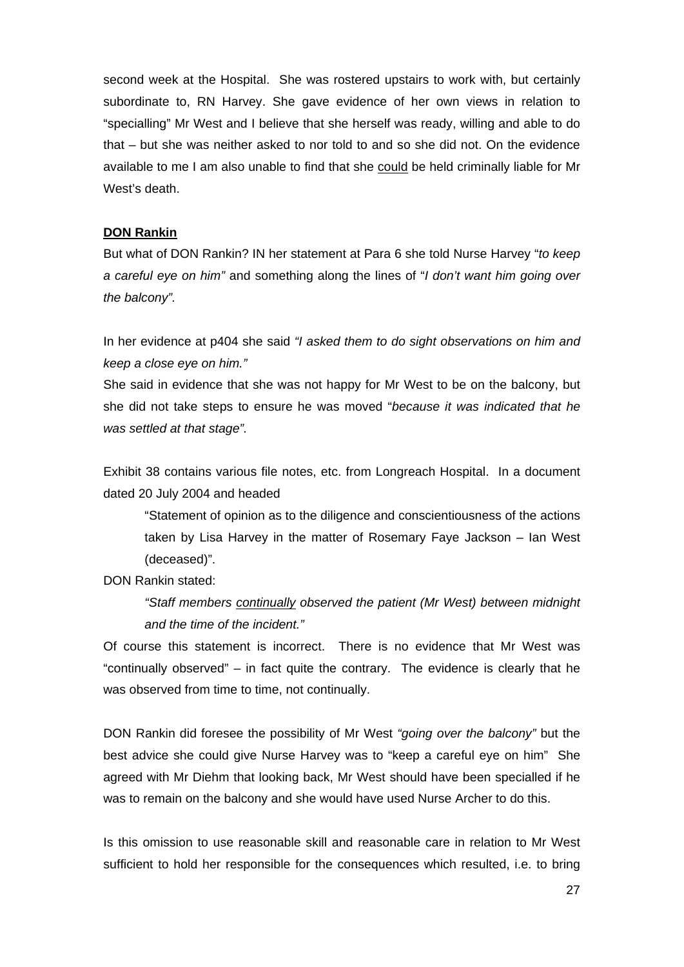second week at the Hospital. She was rostered upstairs to work with, but certainly subordinate to, RN Harvey. She gave evidence of her own views in relation to "specialling" Mr West and I believe that she herself was ready, willing and able to do that – but she was neither asked to nor told to and so she did not. On the evidence available to me I am also unable to find that she could be held criminally liable for Mr West's death.

### **DON Rankin**

But what of DON Rankin? IN her statement at Para 6 she told Nurse Harvey "*to keep a careful eye on him"* and something along the lines of "*I don't want him going over the balcony".* 

In her evidence at p404 she said *"I asked them to do sight observations on him and keep a close eye on him."*

She said in evidence that she was not happy for Mr West to be on the balcony, but she did not take steps to ensure he was moved "*because it was indicated that he was settled at that stage".* 

Exhibit 38 contains various file notes, etc. from Longreach Hospital. In a document dated 20 July 2004 and headed

"Statement of opinion as to the diligence and conscientiousness of the actions taken by Lisa Harvey in the matter of Rosemary Faye Jackson – Ian West (deceased)".

DON Rankin stated:

*"Staff members continually observed the patient (Mr West) between midnight and the time of the incident."* 

Of course this statement is incorrect. There is no evidence that Mr West was "continually observed" – in fact quite the contrary. The evidence is clearly that he was observed from time to time, not continually.

DON Rankin did foresee the possibility of Mr West *"going over the balcony"* but the best advice she could give Nurse Harvey was to "keep a careful eye on him" She agreed with Mr Diehm that looking back, Mr West should have been specialled if he was to remain on the balcony and she would have used Nurse Archer to do this.

Is this omission to use reasonable skill and reasonable care in relation to Mr West sufficient to hold her responsible for the consequences which resulted, i.e. to bring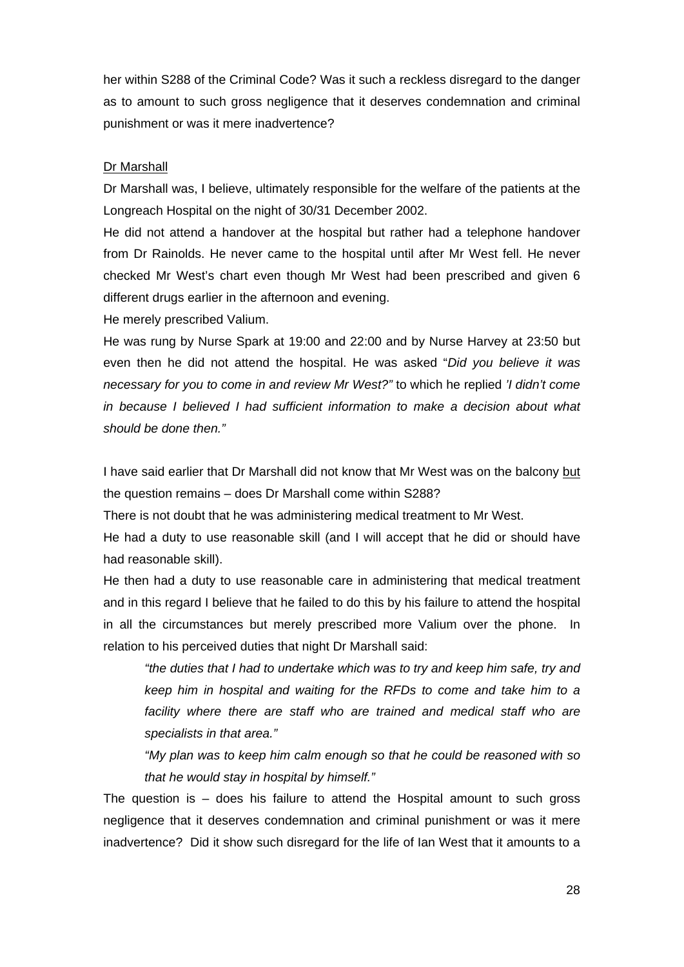her within S288 of the Criminal Code? Was it such a reckless disregard to the danger as to amount to such gross negligence that it deserves condemnation and criminal punishment or was it mere inadvertence?

#### Dr Marshall

Dr Marshall was, I believe, ultimately responsible for the welfare of the patients at the Longreach Hospital on the night of 30/31 December 2002.

He did not attend a handover at the hospital but rather had a telephone handover from Dr Rainolds. He never came to the hospital until after Mr West fell. He never checked Mr West's chart even though Mr West had been prescribed and given 6 different drugs earlier in the afternoon and evening.

He merely prescribed Valium.

He was rung by Nurse Spark at 19:00 and 22:00 and by Nurse Harvey at 23:50 but even then he did not attend the hospital. He was asked "*Did you believe it was necessary for you to come in and review Mr West?"* to which he replied *'I didn't come in because I believed I had sufficient information to make a decision about what should be done then."* 

I have said earlier that Dr Marshall did not know that Mr West was on the balcony but the question remains – does Dr Marshall come within S288?

There is not doubt that he was administering medical treatment to Mr West.

He had a duty to use reasonable skill (and I will accept that he did or should have had reasonable skill).

He then had a duty to use reasonable care in administering that medical treatment and in this regard I believe that he failed to do this by his failure to attend the hospital in all the circumstances but merely prescribed more Valium over the phone. In relation to his perceived duties that night Dr Marshall said:

*"the duties that I had to undertake which was to try and keep him safe, try and keep him in hospital and waiting for the RFDs to come and take him to a*  facility where there are staff who are trained and medical staff who are *specialists in that area."* 

*"My plan was to keep him calm enough so that he could be reasoned with so that he would stay in hospital by himself."* 

The question is – does his failure to attend the Hospital amount to such gross negligence that it deserves condemnation and criminal punishment or was it mere inadvertence? Did it show such disregard for the life of Ian West that it amounts to a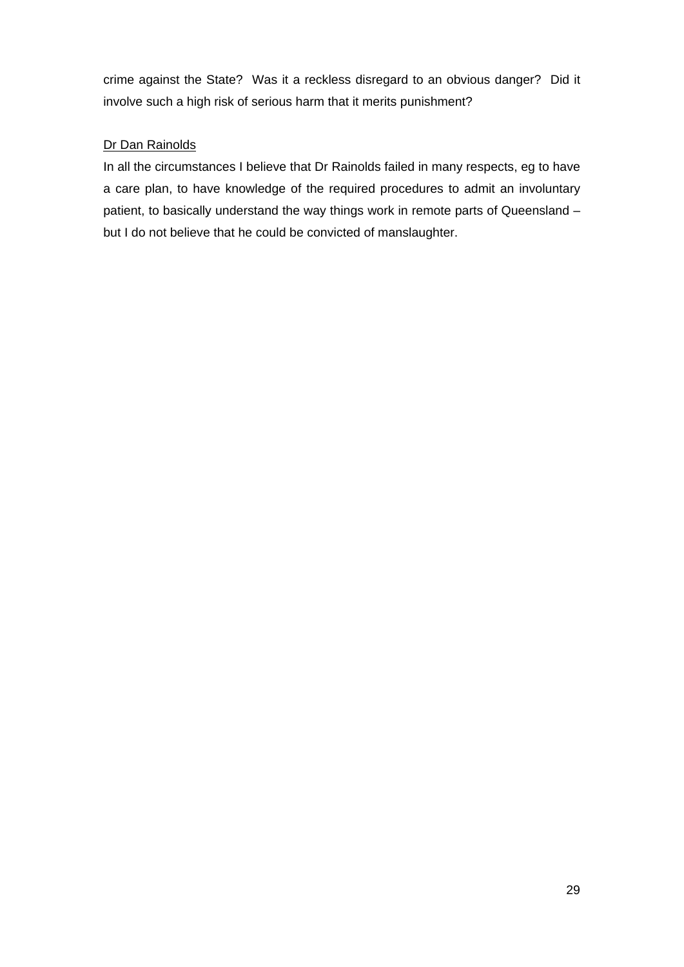crime against the State? Was it a reckless disregard to an obvious danger? Did it involve such a high risk of serious harm that it merits punishment?

# Dr Dan Rainolds

In all the circumstances I believe that Dr Rainolds failed in many respects, eg to have a care plan, to have knowledge of the required procedures to admit an involuntary patient, to basically understand the way things work in remote parts of Queensland – but I do not believe that he could be convicted of manslaughter.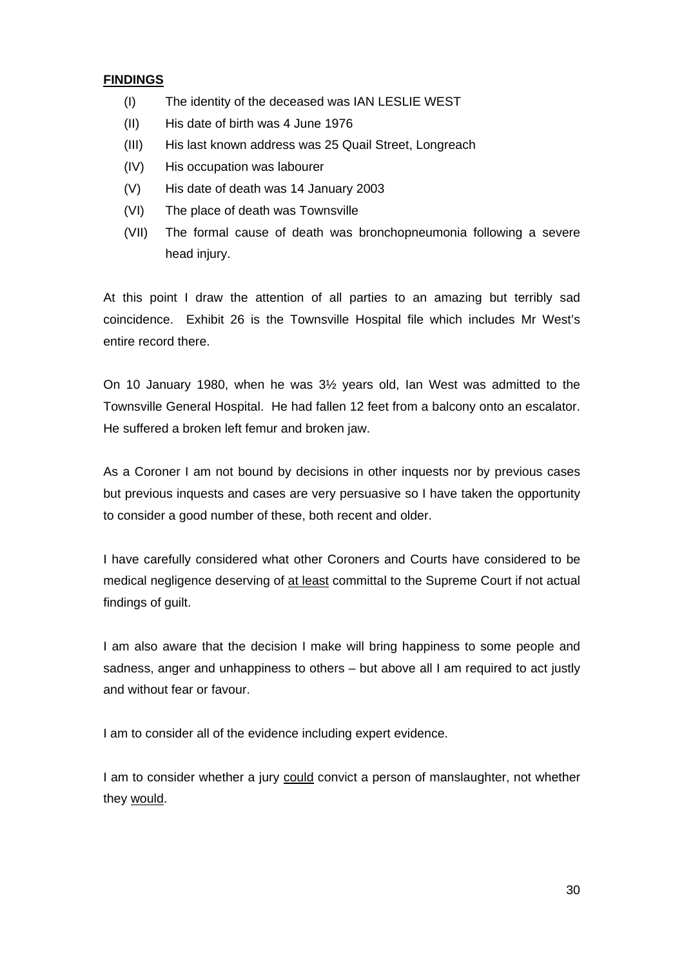# **FINDINGS**

- (I) The identity of the deceased was IAN LESLIE WEST
- (II) His date of birth was 4 June 1976
- (III) His last known address was 25 Quail Street, Longreach
- (IV) His occupation was labourer
- (V) His date of death was 14 January 2003
- (VI) The place of death was Townsville
- (VII) The formal cause of death was bronchopneumonia following a severe head injury.

At this point I draw the attention of all parties to an amazing but terribly sad coincidence. Exhibit 26 is the Townsville Hospital file which includes Mr West's entire record there.

On 10 January 1980, when he was 3½ years old, Ian West was admitted to the Townsville General Hospital. He had fallen 12 feet from a balcony onto an escalator. He suffered a broken left femur and broken jaw.

As a Coroner I am not bound by decisions in other inquests nor by previous cases but previous inquests and cases are very persuasive so I have taken the opportunity to consider a good number of these, both recent and older.

I have carefully considered what other Coroners and Courts have considered to be medical negligence deserving of at least committal to the Supreme Court if not actual findings of guilt.

I am also aware that the decision I make will bring happiness to some people and sadness, anger and unhappiness to others – but above all I am required to act justly and without fear or favour.

I am to consider all of the evidence including expert evidence.

I am to consider whether a jury could convict a person of manslaughter, not whether they would.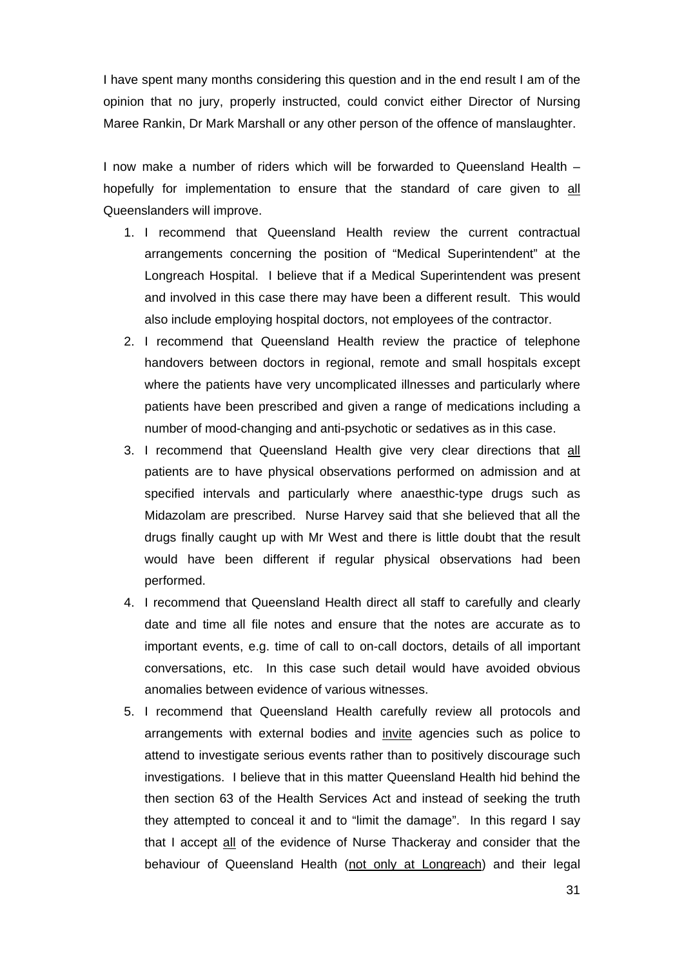I have spent many months considering this question and in the end result I am of the opinion that no jury, properly instructed, could convict either Director of Nursing Maree Rankin, Dr Mark Marshall or any other person of the offence of manslaughter.

I now make a number of riders which will be forwarded to Queensland Health – hopefully for implementation to ensure that the standard of care given to all Queenslanders will improve.

- 1. I recommend that Queensland Health review the current contractual arrangements concerning the position of "Medical Superintendent" at the Longreach Hospital. I believe that if a Medical Superintendent was present and involved in this case there may have been a different result. This would also include employing hospital doctors, not employees of the contractor.
- 2. I recommend that Queensland Health review the practice of telephone handovers between doctors in regional, remote and small hospitals except where the patients have very uncomplicated illnesses and particularly where patients have been prescribed and given a range of medications including a number of mood-changing and anti-psychotic or sedatives as in this case.
- 3. I recommend that Queensland Health give very clear directions that all patients are to have physical observations performed on admission and at specified intervals and particularly where anaesthic-type drugs such as Midazolam are prescribed. Nurse Harvey said that she believed that all the drugs finally caught up with Mr West and there is little doubt that the result would have been different if regular physical observations had been performed.
- 4. I recommend that Queensland Health direct all staff to carefully and clearly date and time all file notes and ensure that the notes are accurate as to important events, e.g. time of call to on-call doctors, details of all important conversations, etc. In this case such detail would have avoided obvious anomalies between evidence of various witnesses.
- 5. I recommend that Queensland Health carefully review all protocols and arrangements with external bodies and invite agencies such as police to attend to investigate serious events rather than to positively discourage such investigations. I believe that in this matter Queensland Health hid behind the then section 63 of the Health Services Act and instead of seeking the truth they attempted to conceal it and to "limit the damage". In this regard I say that I accept all of the evidence of Nurse Thackeray and consider that the behaviour of Queensland Health (not only at Longreach) and their legal